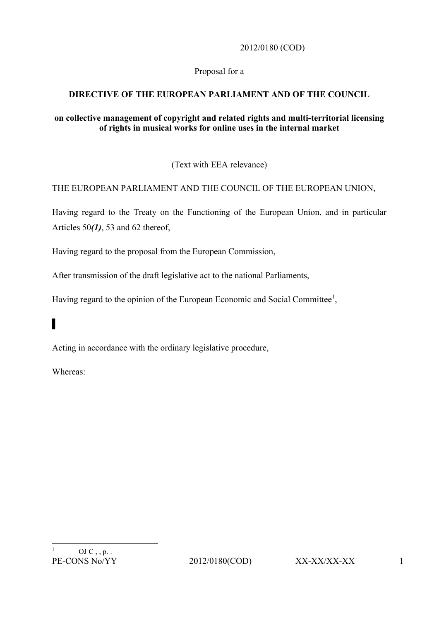2012/0180 (COD)

## Proposal for a

# **DIRECTIVE OF THE EUROPEAN PARLIAMENT AND OF THE COUNCIL**

#### **on collective management of copyright and related rights and multi-territorial licensing of rights in musical works for online uses in the internal market**

(Text with EEA relevance)

### THE EUROPEAN PARLIAMENT AND THE COUNCIL OF THE EUROPEAN UNION,

Having regard to the Treaty on the Functioning of the European Union, and in particular Articles 50*(1)*, 53 and 62 thereof,

Having regard to the proposal from the European Commission,

After transmission of the draft legislative act to the national Parliaments,

Having regard to the opinion of the European Economic and Social Committee<sup>1</sup>,

# ▌

Acting in accordance with the ordinary legislative procedure,

Whereas: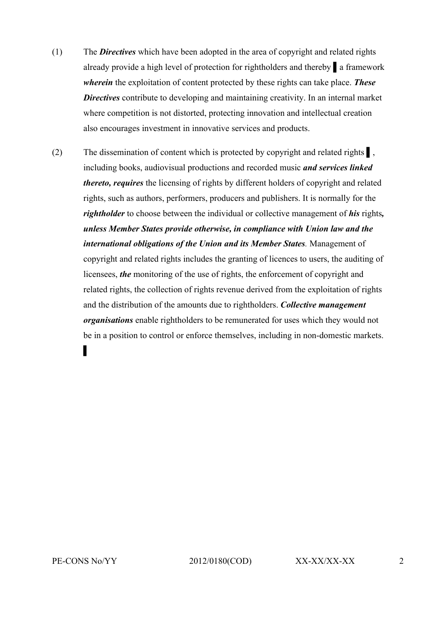- (1) The *Directives* which have been adopted in the area of copyright and related rights already provide a high level of protection for rightholders and thereby ▌a framework *wherein* the exploitation of content protected by these rights can take place. *These Directives* contribute to developing and maintaining creativity. In an internal market where competition is not distorted, protecting innovation and intellectual creation also encourages investment in innovative services and products.
- (2) The dissemination of content which is protected by copyright and related rights ▌, including books, audiovisual productions and recorded music *and services linked thereto, requires* the licensing of rights by different holders of copyright and related rights, such as authors, performers, producers and publishers. It is normally for the *rightholder* to choose between the individual or collective management of *his* rights*, unless Member States provide otherwise, in compliance with Union law and the international obligations of the Union and its Member States.* Management of copyright and related rights includes the granting of licences to users, the auditing of licensees, *the* monitoring of the use of rights, the enforcement of copyright and related rights, the collection of rights revenue derived from the exploitation of rights and the distribution of the amounts due to rightholders. *Collective management organisations* enable rightholders to be remunerated for uses which they would not be in a position to control or enforce themselves, including in non-domestic markets. ▌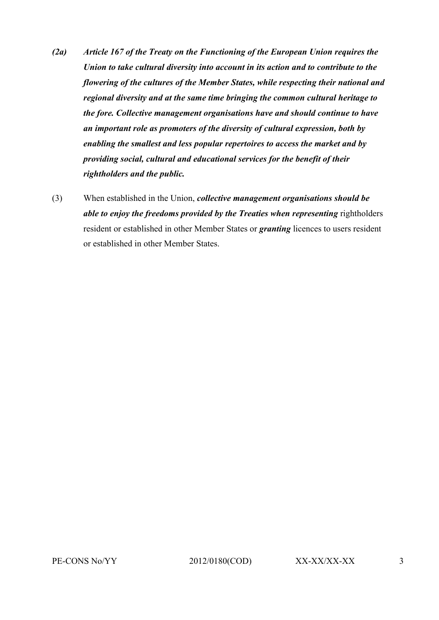- *(2a) Article 167 of the Treaty on the Functioning of the European Union requires the Union to take cultural diversity into account in its action and to contribute to the flowering of the cultures of the Member States, while respecting their national and regional diversity and at the same time bringing the common cultural heritage to the fore. Collective management organisations have and should continue to have an important role as promoters of the diversity of cultural expression, both by enabling the smallest and less popular repertoires to access the market and by providing social, cultural and educational services for the benefit of their rightholders and the public.*
- (3) When established in the Union, *collective management organisations should be able to enjoy the freedoms provided by the Treaties when representing* rightholders resident or established in other Member States or *granting* licences to users resident or established in other Member States.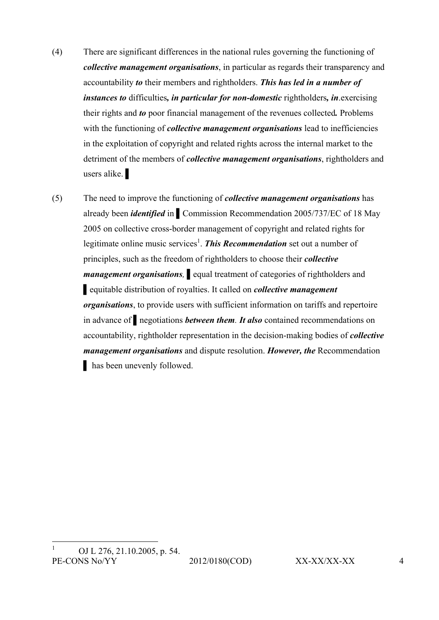- (4) There are significant differences in the national rules governing the functioning of *collective management organisations*, in particular as regards their transparency and accountability *to* their members and rightholders. *This has led in a number of instances to* difficulties*, in particular for non-domestic* rightholders*, in*.exercising their rights and *to* poor financial management of the revenues collected*.* Problems with the functioning of *collective management organisations* lead to inefficiencies in the exploitation of copyright and related rights across the internal market to the detriment of the members of *collective management organisations*, rightholders and users alike.
- (5) The need to improve the functioning of *collective management organisations* has already been *identified* in ▌Commission Recommendation 2005/737/EC of 18 May 2005 on collective cross-border management of copyright and related rights for legitimate online music services<sup>1</sup>. This Recommendation set out a number of principles, such as the freedom of rightholders to choose their *collective management organisations,* ▌equal treatment of categories of rightholders and ▌equitable distribution of royalties. It called on *collective management organisations*, to provide users with sufficient information on tariffs and repertoire in advance of ▌negotiations *between them. It also* contained recommendations on accountability, rightholder representation in the decision-making bodies of *collective management organisations* and dispute resolution. *However, the* Recommendation ▌ has been unevenly followed.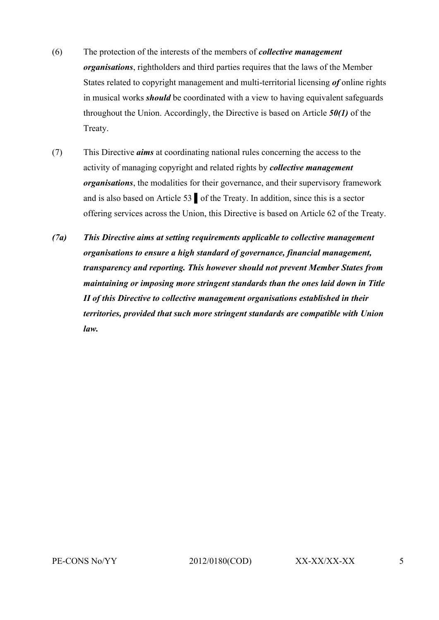- (6) The protection of the interests of the members of *collective management organisations*, rightholders and third parties requires that the laws of the Member States related to copyright management and multi-territorial licensing *of* online rights in musical works *should* be coordinated with a view to having equivalent safeguards throughout the Union. Accordingly, the Directive is based on Article *50(1)* of the Treaty.
- (7) This Directive *aims* at coordinating national rules concerning the access to the activity of managing copyright and related rights by *collective management organisations*, the modalities for their governance, and their supervisory framework and is also based on Article 53 ▌of the Treaty. In addition, since this is a sector offering services across the Union, this Directive is based on Article 62 of the Treaty.
- *(7a) This Directive aims at setting requirements applicable to collective management organisations to ensure a high standard of governance, financial management, transparency and reporting. This however should not prevent Member States from maintaining or imposing more stringent standards than the ones laid down in Title II of this Directive to collective management organisations established in their territories, provided that such more stringent standards are compatible with Union law.*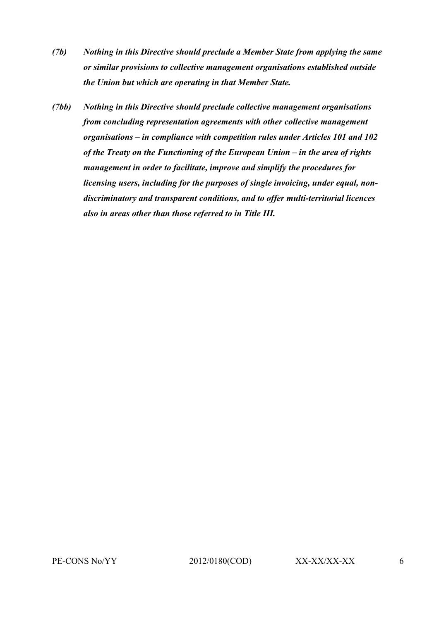- *(7b) Nothing in this Directive should preclude a Member State from applying the same or similar provisions to collective management organisations established outside the Union but which are operating in that Member State.*
- *(7bb) Nothing in this Directive should preclude collective management organisations from concluding representation agreements with other collective management organisations – in compliance with competition rules under Articles 101 and 102 of the Treaty on the Functioning of the European Union – in the area of rights management in order to facilitate, improve and simplify the procedures for licensing users, including for the purposes of single invoicing, under equal, nondiscriminatory and transparent conditions, and to offer multi-territorial licences also in areas other than those referred to in Title III.*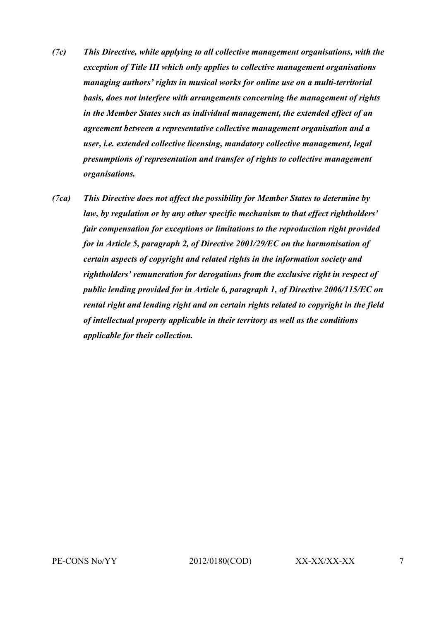- *(7c) This Directive, while applying to all collective management organisations, with the exception of Title III which only applies to collective management organisations managing authors' rights in musical works for online use on a multi-territorial basis, does not interfere with arrangements concerning the management of rights in the Member States such as individual management, the extended effect of an agreement between a representative collective management organisation and a user, i.e. extended collective licensing, mandatory collective management, legal presumptions of representation and transfer of rights to collective management organisations.*
- *(7ca) This Directive does not affect the possibility for Member States to determine by law, by regulation or by any other specific mechanism to that effect rightholders' fair compensation for exceptions or limitations to the reproduction right provided for in Article 5, paragraph 2, of Directive 2001/29/EC on the harmonisation of certain aspects of copyright and related rights in the information society and rightholders' remuneration for derogations from the exclusive right in respect of public lending provided for in Article 6, paragraph 1, of Directive 2006/115/EC on rental right and lending right and on certain rights related to copyright in the field of intellectual property applicable in their territory as well as the conditions applicable for their collection.*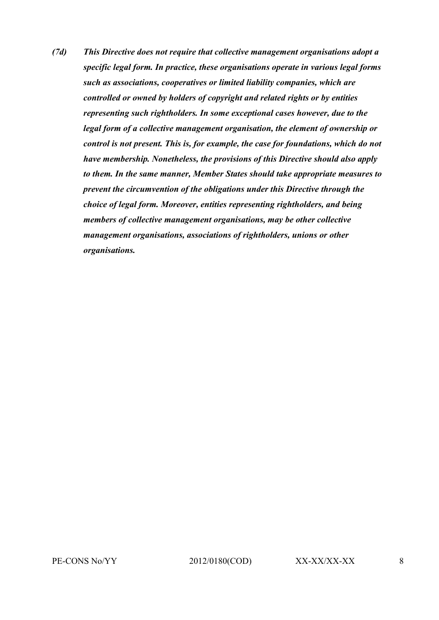*(7d) This Directive does not require that collective management organisations adopt a specific legal form. In practice, these organisations operate in various legal forms such as associations, cooperatives or limited liability companies, which are controlled or owned by holders of copyright and related rights or by entities representing such rightholders. In some exceptional cases however, due to the legal form of a collective management organisation, the element of ownership or control is not present. This is, for example, the case for foundations, which do not have membership. Nonetheless, the provisions of this Directive should also apply to them. In the same manner, Member States should take appropriate measures to prevent the circumvention of the obligations under this Directive through the choice of legal form. Moreover, entities representing rightholders, and being members of collective management organisations, may be other collective management organisations, associations of rightholders, unions or other organisations.*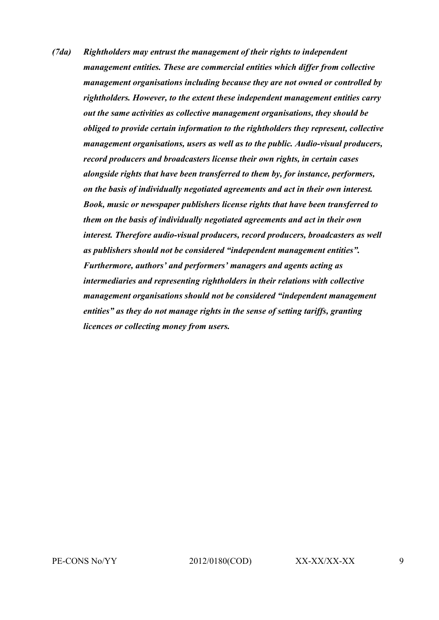*(7da) Rightholders may entrust the management of their rights to independent management entities. These are commercial entities which differ from collective management organisations including because they are not owned or controlled by rightholders. However, to the extent these independent management entities carry out the same activities as collective management organisations, they should be obliged to provide certain information to the rightholders they represent, collective management organisations, users as well as to the public. Audio-visual producers, record producers and broadcasters license their own rights, in certain cases alongside rights that have been transferred to them by, for instance, performers, on the basis of individually negotiated agreements and act in their own interest. Book, music or newspaper publishers license rights that have been transferred to them on the basis of individually negotiated agreements and act in their own interest. Therefore audio-visual producers, record producers, broadcasters as well as publishers should not be considered "independent management entities". Furthermore, authors' and performers' managers and agents acting as intermediaries and representing rightholders in their relations with collective management organisations should not be considered "independent management entities" as they do not manage rights in the sense of setting tariffs, granting licences or collecting money from users.*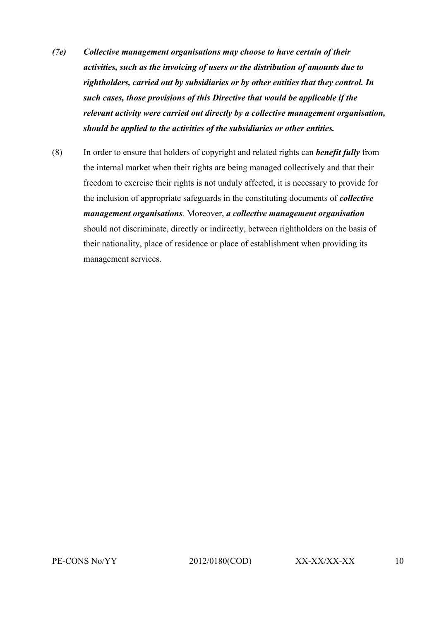- *(7e) Collective management organisations may choose to have certain of their activities, such as the invoicing of users or the distribution of amounts due to rightholders, carried out by subsidiaries or by other entities that they control. In such cases, those provisions of this Directive that would be applicable if the relevant activity were carried out directly by a collective management organisation, should be applied to the activities of the subsidiaries or other entities.*
- (8) In order to ensure that holders of copyright and related rights can *benefit fully* from the internal market when their rights are being managed collectively and that their freedom to exercise their rights is not unduly affected, it is necessary to provide for the inclusion of appropriate safeguards in the constituting documents of *collective management organisations.* Moreover, *a collective management organisation* should not discriminate, directly or indirectly, between rightholders on the basis of their nationality, place of residence or place of establishment when providing its management services.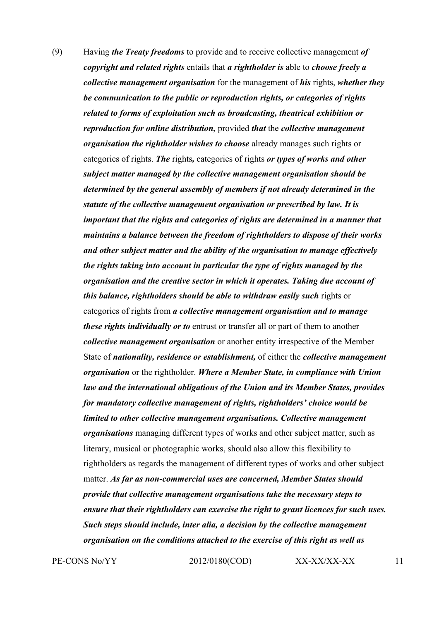(9) Having *the Treaty freedoms* to provide and to receive collective management *of copyright and related rights* entails that *a rightholder is* able to *choose freely a collective management organisation* for the management of *his* rights, *whether they be communication to the public or reproduction rights, or categories of rights related to forms of exploitation such as broadcasting, theatrical exhibition or reproduction for online distribution,* provided *that* the *collective management organisation the rightholder wishes to choose* already manages such rights or categories of rights. *The* rights*,* categories of rights *or types of works and other subject matter managed by the collective management organisation should be determined by the general assembly of members if not already determined in the statute of the collective management organisation or prescribed by law. It is important that the rights and categories of rights are determined in a manner that maintains a balance between the freedom of rightholders to dispose of their works and other subject matter and the ability of the organisation to manage effectively the rights taking into account in particular the type of rights managed by the organisation and the creative sector in which it operates. Taking due account of this balance, rightholders should be able to withdraw easily such* rights or categories of rights from *a collective management organisation and to manage these rights individually or to* entrust or transfer all or part of them to another *collective management organisation* or another entity irrespective of the Member State of *nationality, residence or establishment,* of either the *collective management organisation* or the rightholder. *Where a Member State, in compliance with Union law and the international obligations of the Union and its Member States, provides for mandatory collective management of rights, rightholders' choice would be limited to other collective management organisations. Collective management organisations* managing different types of works and other subject matter, such as literary, musical or photographic works, should also allow this flexibility to rightholders as regards the management of different types of works and other subject matter. *As far as non-commercial uses are concerned, Member States should provide that collective management organisations take the necessary steps to ensure that their rightholders can exercise the right to grant licences for such uses. Such steps should include, inter alia, a decision by the collective management organisation on the conditions attached to the exercise of this right as well as* 

PE-CONS No/YY 2012/0180(COD) XX-XX/XX-XX 11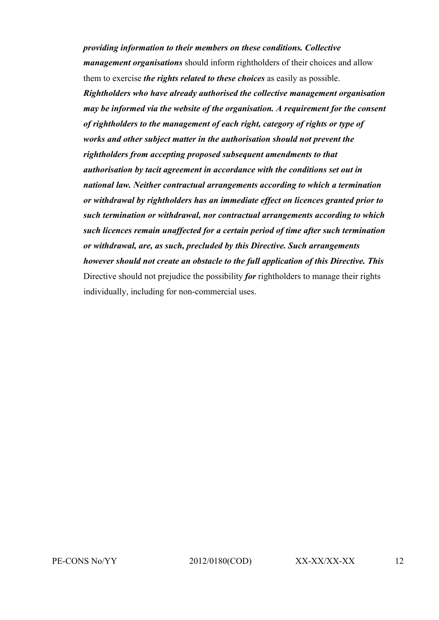*providing information to their members on these conditions. Collective management organisations* should inform rightholders of their choices and allow them to exercise *the rights related to these choices* as easily as possible. *Rightholders who have already authorised the collective management organisation may be informed via the website of the organisation. A requirement for the consent of rightholders to the management of each right, category of rights or type of works and other subject matter in the authorisation should not prevent the rightholders from accepting proposed subsequent amendments to that authorisation by tacit agreement in accordance with the conditions set out in national law. Neither contractual arrangements according to which a termination or withdrawal by rightholders has an immediate effect on licences granted prior to such termination or withdrawal, nor contractual arrangements according to which such licences remain unaffected for a certain period of time after such termination or withdrawal, are, as such, precluded by this Directive. Such arrangements however should not create an obstacle to the full application of this Directive. This* Directive should not prejudice the possibility *for* rightholders to manage their rights individually, including for non-commercial uses.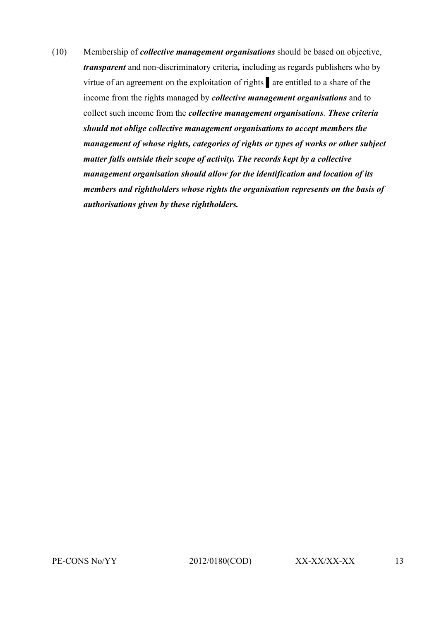(10) Membership of *collective management organisations* should be based on objective, *transparent* and non-discriminatory criteria*,* including as regards publishers who by virtue of an agreement on the exploitation of rights ▌are entitled to a share of the income from the rights managed by *collective management organisations* and to collect such income from the *collective management organisations. These criteria should not oblige collective management organisations to accept members the management of whose rights, categories of rights or types of works or other subject matter falls outside their scope of activity. The records kept by a collective management organisation should allow for the identification and location of its members and rightholders whose rights the organisation represents on the basis of authorisations given by these rightholders.*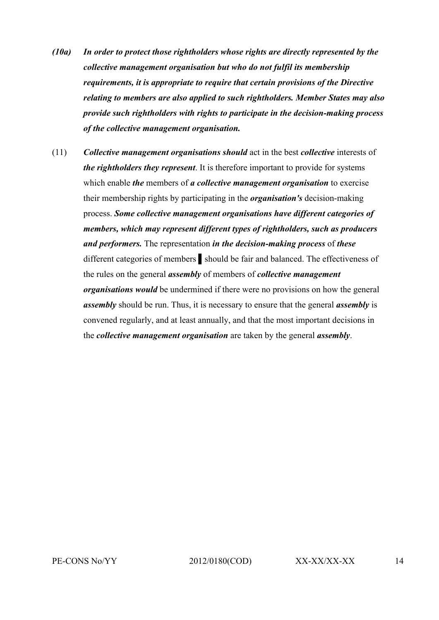- *(10a) In order to protect those rightholders whose rights are directly represented by the collective management organisation but who do not fulfil its membership requirements, it is appropriate to require that certain provisions of the Directive relating to members are also applied to such rightholders. Member States may also provide such rightholders with rights to participate in the decision-making process of the collective management organisation.*
- (11) *Collective management organisations should* act in the best *collective* interests of *the rightholders they represent*. It is therefore important to provide for systems which enable *the* members of *a collective management organisation* to exercise their membership rights by participating in the *organisation's* decision-making process. *Some collective management organisations have different categories of members, which may represent different types of rightholders, such as producers and performers.* The representation *in the decision-making process* of *these* different categories of members ▌should be fair and balanced. The effectiveness of the rules on the general *assembly* of members of *collective management organisations would* be undermined if there were no provisions on how the general *assembly* should be run. Thus, it is necessary to ensure that the general *assembly* is convened regularly, and at least annually, and that the most important decisions in the *collective management organisation* are taken by the general *assembly*.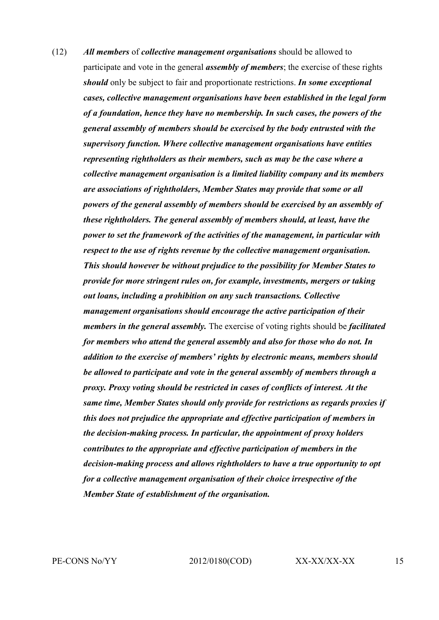(12) *All members* of *collective management organisations* should be allowed to participate and vote in the general *assembly of members*; the exercise of these rights *should* only be subject to fair and proportionate restrictions. *In some exceptional cases, collective management organisations have been established in the legal form of a foundation, hence they have no membership. In such cases, the powers of the general assembly of members should be exercised by the body entrusted with the supervisory function. Where collective management organisations have entities representing rightholders as their members, such as may be the case where a collective management organisation is a limited liability company and its members are associations of rightholders, Member States may provide that some or all powers of the general assembly of members should be exercised by an assembly of these rightholders. The general assembly of members should, at least, have the power to set the framework of the activities of the management, in particular with respect to the use of rights revenue by the collective management organisation. This should however be without prejudice to the possibility for Member States to provide for more stringent rules on, for example, investments, mergers or taking out loans, including a prohibition on any such transactions. Collective management organisations should encourage the active participation of their members in the general assembly.* The exercise of voting rights should be *facilitated for members who attend the general assembly and also for those who do not. In addition to the exercise of members' rights by electronic means, members should be allowed to participate and vote in the general assembly of members through a proxy. Proxy voting should be restricted in cases of conflicts of interest. At the same time, Member States should only provide for restrictions as regards proxies if this does not prejudice the appropriate and effective participation of members in the decision-making process. In particular, the appointment of proxy holders contributes to the appropriate and effective participation of members in the decision-making process and allows rightholders to have a true opportunity to opt for a collective management organisation of their choice irrespective of the Member State of establishment of the organisation.*

PE-CONS No/YY 2012/0180(COD) XX-XX/XX-XX 15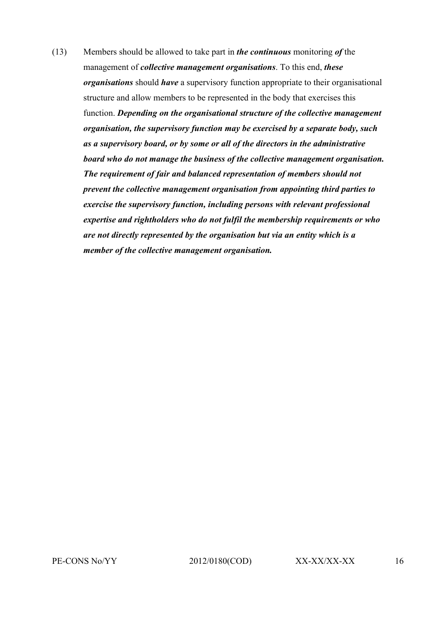(13) Members should be allowed to take part in *the continuous* monitoring *of* the management of *collective management organisations*. To this end, *these organisations* should *have* a supervisory function appropriate to their organisational structure and allow members to be represented in the body that exercises this function. *Depending on the organisational structure of the collective management organisation, the supervisory function may be exercised by a separate body, such as a supervisory board, or by some or all of the directors in the administrative board who do not manage the business of the collective management organisation. The requirement of fair and balanced representation of members should not prevent the collective management organisation from appointing third parties to exercise the supervisory function, including persons with relevant professional expertise and rightholders who do not fulfil the membership requirements or who are not directly represented by the organisation but via an entity which is a member of the collective management organisation.*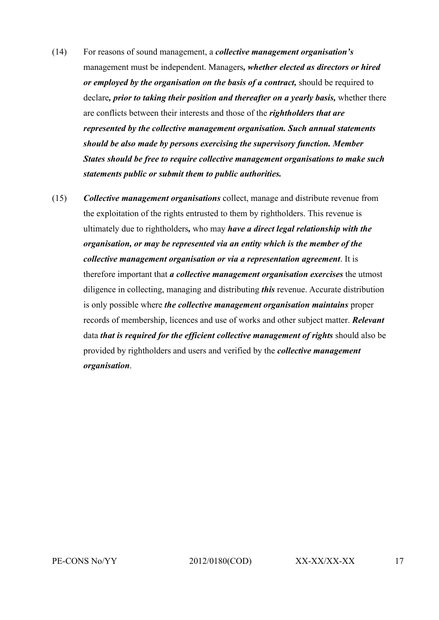- (14) For reasons of sound management, a *collective management organisation's*  management must be independent. Managers*, whether elected as directors or hired or employed by the organisation on the basis of a contract,* should be required to declare*, prior to taking their position and thereafter on a yearly basis,* whether there are conflicts between their interests and those of the *rightholders that are represented by the collective management organisation. Such annual statements should be also made by persons exercising the supervisory function. Member States should be free to require collective management organisations to make such statements public or submit them to public authorities.*
- (15) *Collective management organisations* collect, manage and distribute revenue from the exploitation of the rights entrusted to them by rightholders. This revenue is ultimately due to rightholders*,* who may *have a direct legal relationship with the organisation, or may be represented via an entity which is the member of the collective management organisation or via a representation agreement*. It is therefore important that *a collective management organisation exercises* the utmost diligence in collecting, managing and distributing *this* revenue. Accurate distribution is only possible where *the collective management organisation maintains* proper records of membership, licences and use of works and other subject matter. *Relevant* data *that is required for the efficient collective management of rights* should also be provided by rightholders and users and verified by the *collective management organisation*.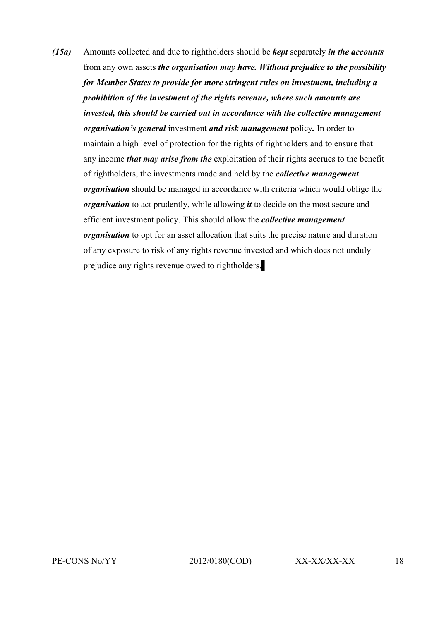*(15a)* Amounts collected and due to rightholders should be *kept* separately *in the accounts*  from any own assets *the organisation may have. Without prejudice to the possibility for Member States to provide for more stringent rules on investment, including a prohibition of the investment of the rights revenue, where such amounts are invested, this should be carried out in accordance with the collective management organisation's general* investment *and risk management* policy*.* In order to maintain a high level of protection for the rights of rightholders and to ensure that any income *that may arise from the* exploitation of their rights accrues to the benefit of rightholders, the investments made and held by the *collective management organisation* should be managed in accordance with criteria which would oblige the *organisation* to act prudently, while allowing *it* to decide on the most secure and efficient investment policy. This should allow the *collective management organisation* to opt for an asset allocation that suits the precise nature and duration of any exposure to risk of any rights revenue invested and which does not unduly prejudice any rights revenue owed to rightholders.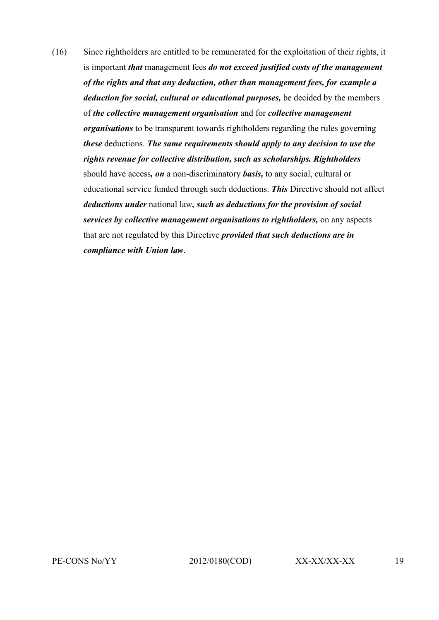(16) Since rightholders are entitled to be remunerated for the exploitation of their rights, it is important *that* management fees *do not exceed justified costs of the management of the rights and that any deduction, other than management fees, for example a deduction for social, cultural or educational purposes,* be decided by the members of *the collective management organisation* and for *collective management organisations* to be transparent towards rightholders regarding the rules governing *these* deductions. *The same requirements should apply to any decision to use the rights revenue for collective distribution, such as scholarships. Rightholders*  should have access*, on* a non-discriminatory *basis,* to any social, cultural or educational service funded through such deductions. *This* Directive should not affect *deductions under* national law*, such as deductions for the provision of social services by collective management organisations to rightholders,* on any aspects that are not regulated by this Directive *provided that such deductions are in compliance with Union law*.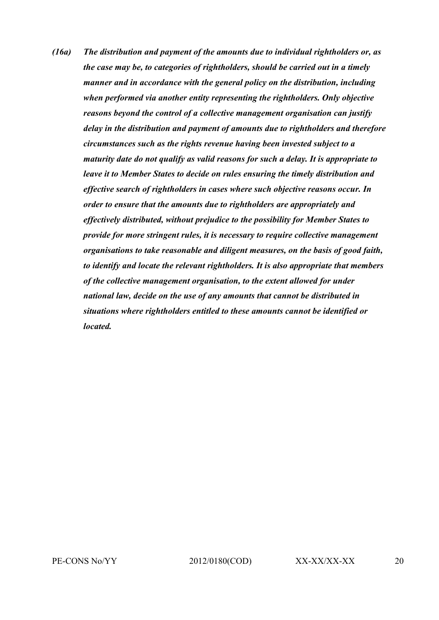*(16a) The distribution and payment of the amounts due to individual rightholders or, as the case may be, to categories of rightholders, should be carried out in a timely manner and in accordance with the general policy on the distribution, including when performed via another entity representing the rightholders. Only objective reasons beyond the control of a collective management organisation can justify delay in the distribution and payment of amounts due to rightholders and therefore circumstances such as the rights revenue having been invested subject to a maturity date do not qualify as valid reasons for such a delay. It is appropriate to leave it to Member States to decide on rules ensuring the timely distribution and effective search of rightholders in cases where such objective reasons occur. In order to ensure that the amounts due to rightholders are appropriately and effectively distributed, without prejudice to the possibility for Member States to provide for more stringent rules, it is necessary to require collective management organisations to take reasonable and diligent measures, on the basis of good faith, to identify and locate the relevant rightholders. It is also appropriate that members of the collective management organisation, to the extent allowed for under national law, decide on the use of any amounts that cannot be distributed in situations where rightholders entitled to these amounts cannot be identified or located.*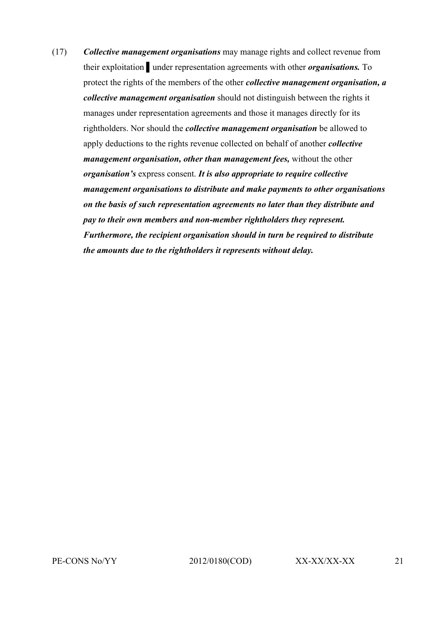(17) *Collective management organisations* may manage rights and collect revenue from their exploitation ▌under representation agreements with other *organisations.* To protect the rights of the members of the other *collective management organisation, a collective management organisation* should not distinguish between the rights it manages under representation agreements and those it manages directly for its rightholders. Nor should the *collective management organisation* be allowed to apply deductions to the rights revenue collected on behalf of another *collective management organisation, other than management fees,* without the other *organisation's* express consent. *It is also appropriate to require collective management organisations to distribute and make payments to other organisations on the basis of such representation agreements no later than they distribute and pay to their own members and non-member rightholders they represent. Furthermore, the recipient organisation should in turn be required to distribute the amounts due to the rightholders it represents without delay.*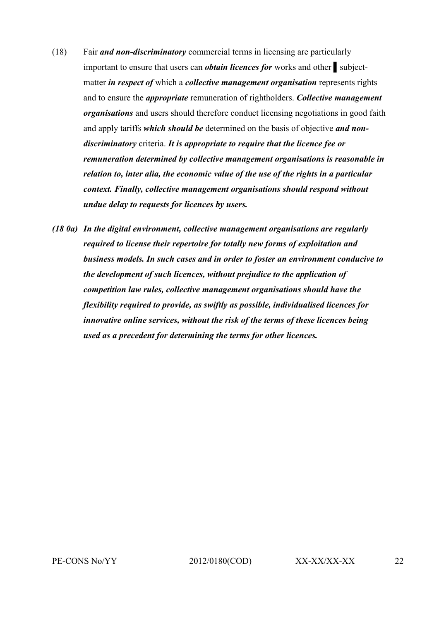- (18) Fair *and non-discriminatory* commercial terms in licensing are particularly important to ensure that users can *obtain licences for* works and other ▌subjectmatter *in respect of* which a *collective management organisation* represents rights and to ensure the *appropriate* remuneration of rightholders. *Collective management organisations* and users should therefore conduct licensing negotiations in good faith and apply tariffs *which should be* determined on the basis of objective *and nondiscriminatory* criteria. *It is appropriate to require that the licence fee or remuneration determined by collective management organisations is reasonable in relation to, inter alia, the economic value of the use of the rights in a particular context. Finally, collective management organisations should respond without undue delay to requests for licences by users.*
- *(18 0a) In the digital environment, collective management organisations are regularly required to license their repertoire for totally new forms of exploitation and business models. In such cases and in order to foster an environment conducive to the development of such licences, without prejudice to the application of competition law rules, collective management organisations should have the flexibility required to provide, as swiftly as possible, individualised licences for innovative online services, without the risk of the terms of these licences being used as a precedent for determining the terms for other licences.*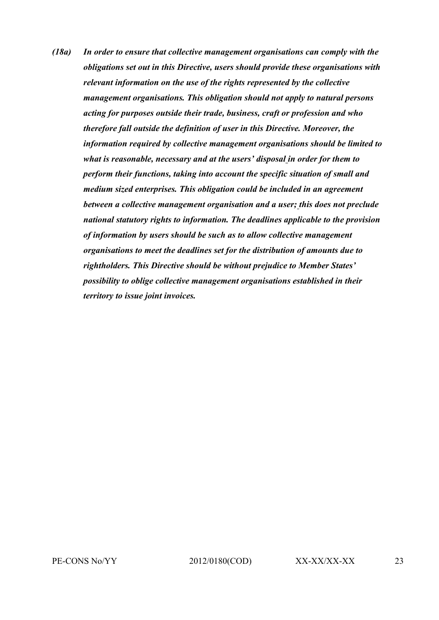*(18a) In order to ensure that collective management organisations can comply with the obligations set out in this Directive, users should provide these organisations with relevant information on the use of the rights represented by the collective management organisations. This obligation should not apply to natural persons acting for purposes outside their trade, business, craft or profession and who therefore fall outside the definition of user in this Directive. Moreover, the information required by collective management organisations should be limited to what is reasonable, necessary and at the users' disposal in order for them to perform their functions, taking into account the specific situation of small and medium sized enterprises. This obligation could be included in an agreement between a collective management organisation and a user; this does not preclude national statutory rights to information. The deadlines applicable to the provision of information by users should be such as to allow collective management organisations to meet the deadlines set for the distribution of amounts due to rightholders. This Directive should be without prejudice to Member States' possibility to oblige collective management organisations established in their territory to issue joint invoices.*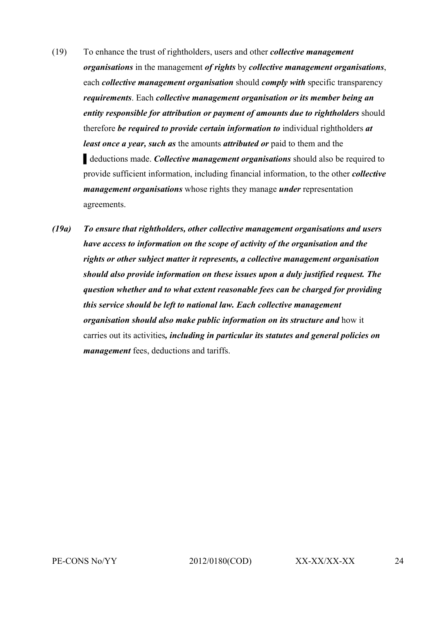- (19) To enhance the trust of rightholders, users and other *collective management organisations* in the management *of rights* by *collective management organisations*, each *collective management organisation* should *comply with* specific transparency *requirements*. Each *collective management organisation or its member being an entity responsible for attribution or payment of amounts due to rightholders* should therefore *be required to provide certain information to* individual rightholders *at least once a year, such as* the amounts *attributed or* paid to them and the ▌deductions made. *Collective management organisations* should also be required to provide sufficient information, including financial information, to the other *collective management organisations* whose rights they manage *under* representation agreements.
- *(19a) To ensure that rightholders, other collective management organisations and users have access to information on the scope of activity of the organisation and the rights or other subject matter it represents, a collective management organisation should also provide information on these issues upon a duly justified request. The question whether and to what extent reasonable fees can be charged for providing this service should be left to national law. Each collective management organisation should also make public information on its structure and* how it carries out its activities*, including in particular its statutes and general policies on management* fees, deductions and tariffs.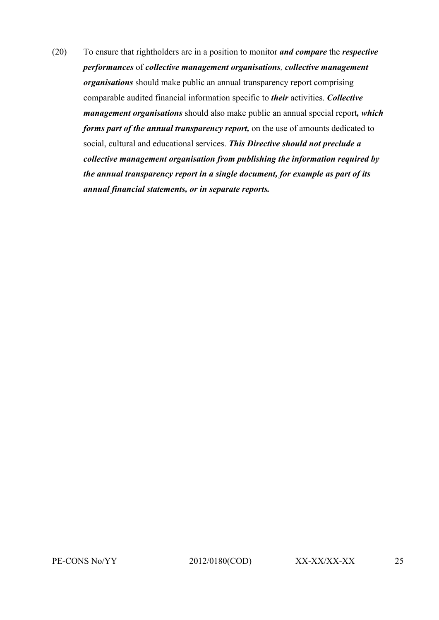(20) To ensure that rightholders are in a position to monitor *and compare* the *respective performances* of *collective management organisations, collective management organisations* should make public an annual transparency report comprising comparable audited financial information specific to *their* activities. *Collective management organisations* should also make public an annual special report*, which forms part of the annual transparency report,* on the use of amounts dedicated to social, cultural and educational services. *This Directive should not preclude a collective management organisation from publishing the information required by the annual transparency report in a single document, for example as part of its annual financial statements, or in separate reports.*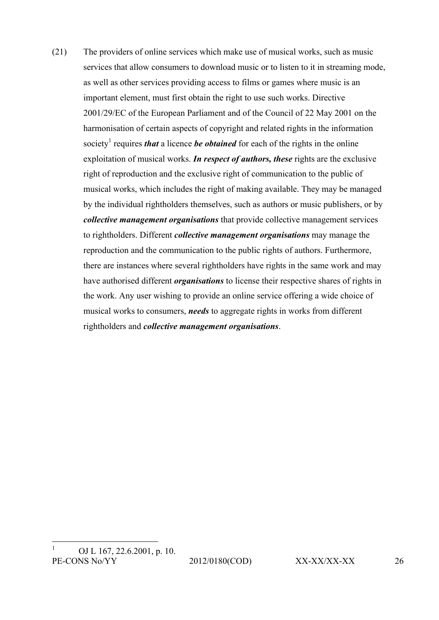(21) The providers of online services which make use of musical works, such as music services that allow consumers to download music or to listen to it in streaming mode, as well as other services providing access to films or games where music is an important element, must first obtain the right to use such works. Directive 2001/29/EC of the European Parliament and of the Council of 22 May 2001 on the harmonisation of certain aspects of copyright and related rights in the information society<sup>1</sup> requires *that* a licence *be obtained* for each of the rights in the online exploitation of musical works. *In respect of authors, these* rights are the exclusive right of reproduction and the exclusive right of communication to the public of musical works, which includes the right of making available. They may be managed by the individual rightholders themselves, such as authors or music publishers, or by *collective management organisations* that provide collective management services to rightholders. Different *collective management organisations* may manage the reproduction and the communication to the public rights of authors. Furthermore, there are instances where several rightholders have rights in the same work and may have authorised different *organisations* to license their respective shares of rights in the work. Any user wishing to provide an online service offering a wide choice of musical works to consumers, *needs* to aggregate rights in works from different rightholders and *collective management organisations*.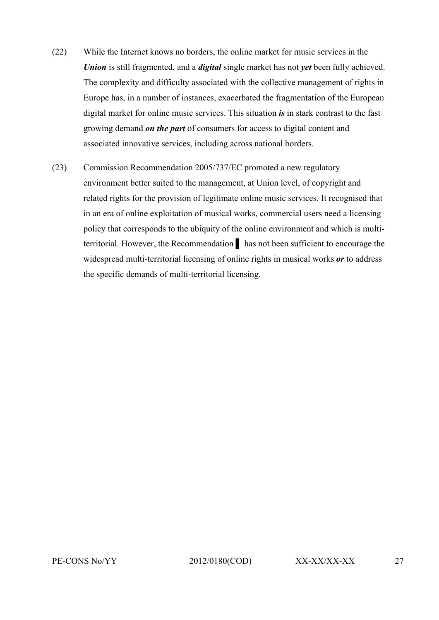- (22) While the Internet knows no borders, the online market for music services in the *Union* is still fragmented, and a *digital* single market has not *yet* been fully achieved. The complexity and difficulty associated with the collective management of rights in Europe has, in a number of instances, exacerbated the fragmentation of the European digital market for online music services. This situation *is* in stark contrast to the fast growing demand *on the part* of consumers for access to digital content and associated innovative services, including across national borders.
- (23) Commission Recommendation 2005/737/EC promoted a new regulatory environment better suited to the management, at Union level, of copyright and related rights for the provision of legitimate online music services. It recognised that in an era of online exploitation of musical works, commercial users need a licensing policy that corresponds to the ubiquity of the online environment and which is multiterritorial. However, the Recommendation ▌ has not been sufficient to encourage the widespread multi-territorial licensing of online rights in musical works *or* to address the specific demands of multi-territorial licensing.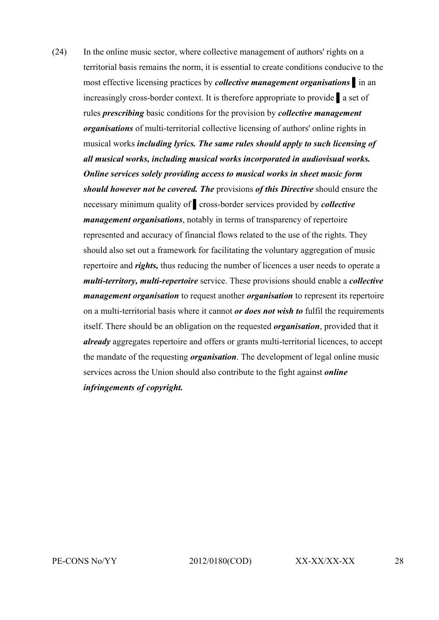(24) In the online music sector, where collective management of authors' rights on a territorial basis remains the norm, it is essential to create conditions conducive to the most effective licensing practices by *collective management organisations* ▌in an increasingly cross-border context. It is therefore appropriate to provide ▌a set of rules *prescribing* basic conditions for the provision by *collective management organisations* of multi-territorial collective licensing of authors' online rights in musical works *including lyrics. The same rules should apply to such licensing of all musical works, including musical works incorporated in audiovisual works. Online services solely providing access to musical works in sheet music form should however not be covered. The* provisions *of this Directive* should ensure the necessary minimum quality of ▌cross-border services provided by *collective management organisations*, notably in terms of transparency of repertoire represented and accuracy of financial flows related to the use of the rights. They should also set out a framework for facilitating the voluntary aggregation of music repertoire and *rights,* thus reducing the number of licences a user needs to operate a *multi-territory, multi-repertoire* service. These provisions should enable a *collective management organisation* to request another *organisation* to represent its repertoire on a multi-territorial basis where it cannot *or does not wish to* fulfil the requirements itself. There should be an obligation on the requested *organisation*, provided that it *already* aggregates repertoire and offers or grants multi-territorial licences, to accept the mandate of the requesting *organisation*. The development of legal online music services across the Union should also contribute to the fight against *online infringements of copyright.*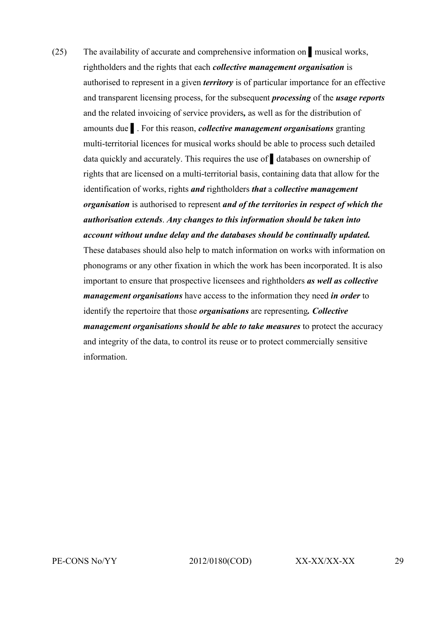(25) The availability of accurate and comprehensive information on ▌musical works, rightholders and the rights that each *collective management organisation* is authorised to represent in a given *territory* is of particular importance for an effective and transparent licensing process, for the subsequent *processing* of the *usage reports* and the related invoicing of service providers*,* as well as for the distribution of amounts due ▌. For this reason, *collective management organisations* granting multi-territorial licences for musical works should be able to process such detailed data quickly and accurately. This requires the use of ▌databases on ownership of rights that are licensed on a multi-territorial basis, containing data that allow for the identification of works, rights *and* rightholders *that* a *collective management organisation* is authorised to represent *and of the territories in respect of which the authorisation extends*. *Any changes to this information should be taken into account without undue delay and the databases should be continually updated.* These databases should also help to match information on works with information on phonograms or any other fixation in which the work has been incorporated. It is also important to ensure that prospective licensees and rightholders *as well as collective management organisations* have access to the information they need *in order* to identify the repertoire that those *organisations* are representing*. Collective management organisations should be able to take measures* to protect the accuracy and integrity of the data, to control its reuse or to protect commercially sensitive information.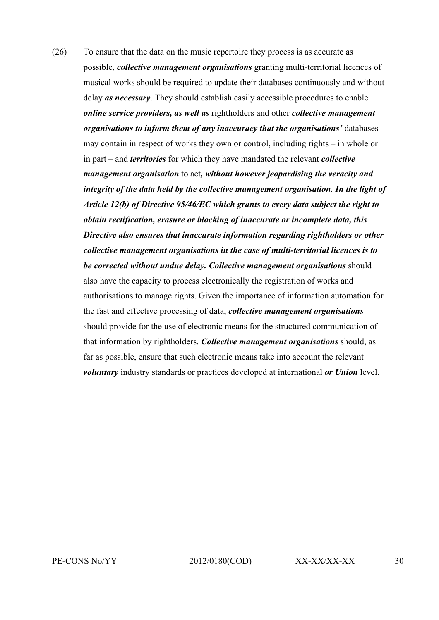(26) To ensure that the data on the music repertoire they process is as accurate as possible, *collective management organisations* granting multi-territorial licences of musical works should be required to update their databases continuously and without delay *as necessary*. They should establish easily accessible procedures to enable *online service providers, as well as* rightholders and other *collective management organisations to inform them of any inaccuracy that the organisations'* databases may contain in respect of works they own or control, including rights – in whole or in part – and *territories* for which they have mandated the relevant *collective management organisation* to act*, without however jeopardising the veracity and integrity of the data held by the collective management organisation. In the light of Article 12(b) of Directive 95/46/EC which grants to every data subject the right to obtain rectification, erasure or blocking of inaccurate or incomplete data, this Directive also ensures that inaccurate information regarding rightholders or other collective management organisations in the case of multi-territorial licences is to be corrected without undue delay. Collective management organisations* should also have the capacity to process electronically the registration of works and authorisations to manage rights. Given the importance of information automation for the fast and effective processing of data, *collective management organisations*  should provide for the use of electronic means for the structured communication of that information by rightholders. *Collective management organisations* should, as far as possible, ensure that such electronic means take into account the relevant *voluntary* industry standards or practices developed at international *or Union* level.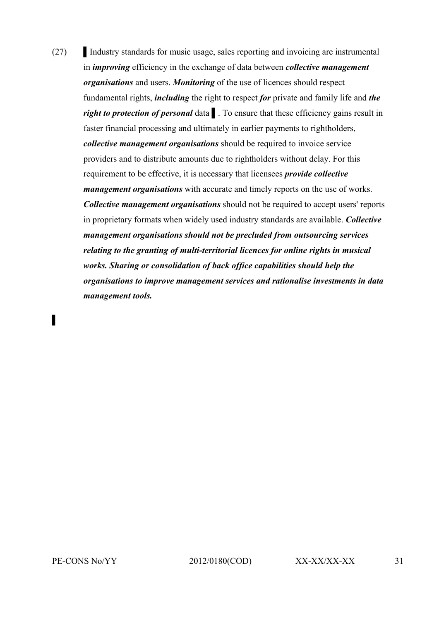(27) Industry standards for music usage, sales reporting and invoicing are instrumental in *improving* efficiency in the exchange of data between *collective management organisations* and users. *Monitoring* of the use of licences should respect fundamental rights, *including* the right to respect *for* private and family life and *the right to protection of personal* data ▌. To ensure that these efficiency gains result in faster financial processing and ultimately in earlier payments to rightholders, *collective management organisations* should be required to invoice service providers and to distribute amounts due to rightholders without delay. For this requirement to be effective, it is necessary that licensees *provide collective management organisations* with accurate and timely reports on the use of works. *Collective management organisations* should not be required to accept users' reports in proprietary formats when widely used industry standards are available. *Collective management organisations should not be precluded from outsourcing services relating to the granting of multi-territorial licences for online rights in musical works. Sharing or consolidation of back office capabilities should help the organisations to improve management services and rationalise investments in data management tools.*

▌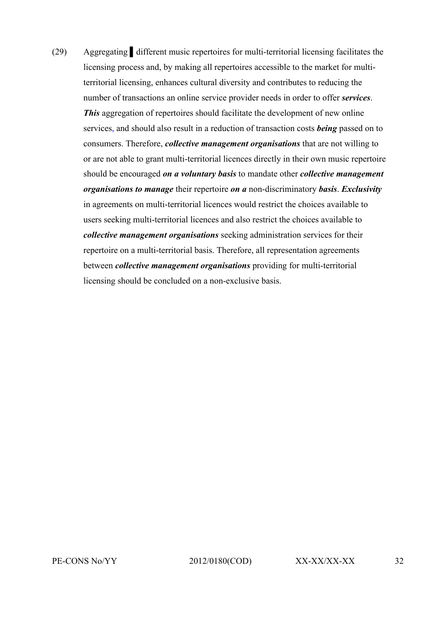(29) Aggregating ▌different music repertoires for multi-territorial licensing facilitates the licensing process and, by making all repertoires accessible to the market for multiterritorial licensing, enhances cultural diversity and contributes to reducing the number of transactions an online service provider needs in order to offer *services*. *This* aggregation of repertoires should facilitate the development of new online services, and should also result in a reduction of transaction costs *being* passed on to consumers. Therefore, *collective management organisations* that are not willing to or are not able to grant multi-territorial licences directly in their own music repertoire should be encouraged *on a voluntary basis* to mandate other *collective management organisations to manage* their repertoire *on a* non-discriminatory *basis*. *Exclusivity* in agreements on multi-territorial licences would restrict the choices available to users seeking multi-territorial licences and also restrict the choices available to *collective management organisations* seeking administration services for their repertoire on a multi-territorial basis. Therefore, all representation agreements between *collective management organisations* providing for multi-territorial licensing should be concluded on a non-exclusive basis.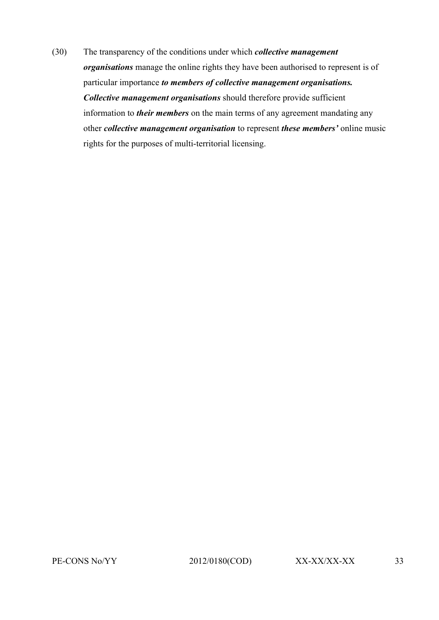(30) The transparency of the conditions under which *collective management organisations* manage the online rights they have been authorised to represent is of particular importance *to members of collective management organisations. Collective management organisations* should therefore provide sufficient information to *their members* on the main terms of any agreement mandating any other *collective management organisation* to represent *these members'* online music rights for the purposes of multi-territorial licensing.

PE-CONS No/YY 2012/0180(COD) XX-XX/XX-XX 33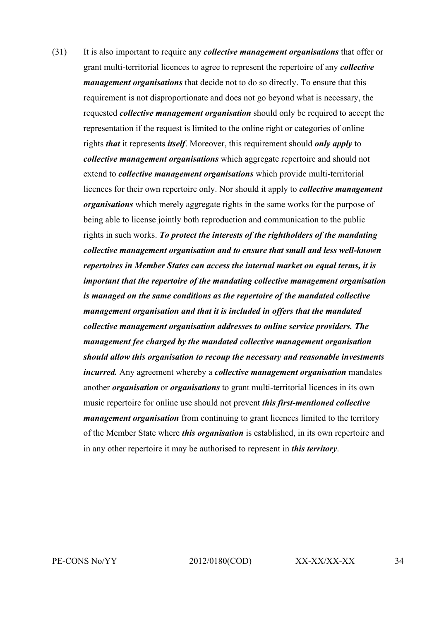(31) It is also important to require any *collective management organisations* that offer or grant multi-territorial licences to agree to represent the repertoire of any *collective management organisations* that decide not to do so directly. To ensure that this requirement is not disproportionate and does not go beyond what is necessary, the requested *collective management organisation* should only be required to accept the representation if the request is limited to the online right or categories of online rights *that* it represents *itself*. Moreover, this requirement should *only apply* to *collective management organisations* which aggregate repertoire and should not extend to *collective management organisations* which provide multi-territorial licences for their own repertoire only. Nor should it apply to *collective management organisations* which merely aggregate rights in the same works for the purpose of being able to license jointly both reproduction and communication to the public rights in such works. *To protect the interests of the rightholders of the mandating collective management organisation and to ensure that small and less well-known repertoires in Member States can access the internal market on equal terms, it is important that the repertoire of the mandating collective management organisation is managed on the same conditions as the repertoire of the mandated collective management organisation and that it is included in offers that the mandated collective management organisation addresses to online service providers. The management fee charged by the mandated collective management organisation should allow this organisation to recoup the necessary and reasonable investments incurred.* Any agreement whereby a *collective management organisation* mandates another *organisation* or *organisations* to grant multi-territorial licences in its own music repertoire for online use should not prevent *this first-mentioned collective management organisation* from continuing to grant licences limited to the territory of the Member State where *this organisation* is established, in its own repertoire and in any other repertoire it may be authorised to represent in *this territory*.

PE-CONS No/YY 2012/0180(COD) XX-XX/XX-XX 34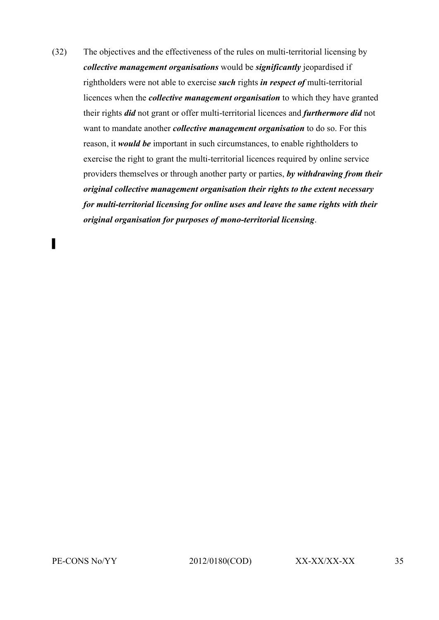(32) The objectives and the effectiveness of the rules on multi-territorial licensing by *collective management organisations* would be *significantly* jeopardised if rightholders were not able to exercise *such* rights *in respect of* multi-territorial licences when the *collective management organisation* to which they have granted their rights *did* not grant or offer multi-territorial licences and *furthermore did* not want to mandate another *collective management organisation* to do so. For this reason, it *would be* important in such circumstances, to enable rightholders to exercise the right to grant the multi-territorial licences required by online service providers themselves or through another party or parties, *by withdrawing from their original collective management organisation their rights to the extent necessary for multi-territorial licensing for online uses and leave the same rights with their original organisation for purposes of mono-territorial licensing*.

▌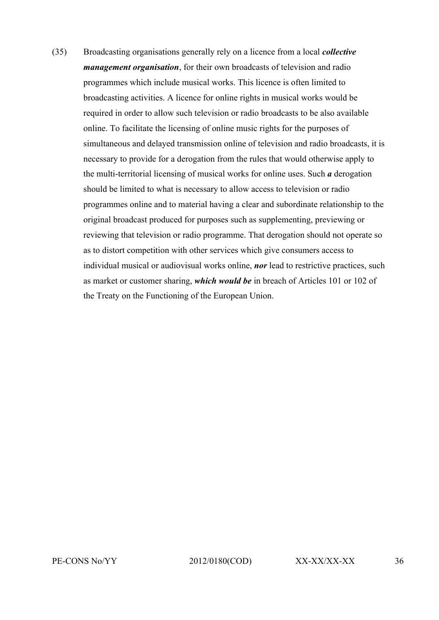(35) Broadcasting organisations generally rely on a licence from a local *collective management organisation*, for their own broadcasts of television and radio programmes which include musical works. This licence is often limited to broadcasting activities. A licence for online rights in musical works would be required in order to allow such television or radio broadcasts to be also available online. To facilitate the licensing of online music rights for the purposes of simultaneous and delayed transmission online of television and radio broadcasts, it is necessary to provide for a derogation from the rules that would otherwise apply to the multi-territorial licensing of musical works for online uses. Such *a* derogation should be limited to what is necessary to allow access to television or radio programmes online and to material having a clear and subordinate relationship to the original broadcast produced for purposes such as supplementing, previewing or reviewing that television or radio programme. That derogation should not operate so as to distort competition with other services which give consumers access to individual musical or audiovisual works online, *nor* lead to restrictive practices, such as market or customer sharing, *which would be* in breach of Articles 101 or 102 of the Treaty on the Functioning of the European Union.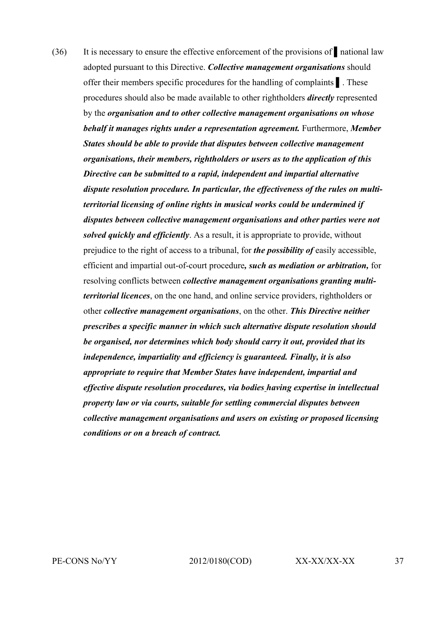(36) It is necessary to ensure the effective enforcement of the provisions of ▌national law adopted pursuant to this Directive. *Collective management organisations* should offer their members specific procedures for the handling of complaints ▌. These procedures should also be made available to other rightholders *directly* represented by the *organisation and to other collective management organisations on whose behalf it manages rights under a representation agreement.* Furthermore, *Member States should be able to provide that disputes between collective management organisations, their members, rightholders or users as to the application of this Directive can be submitted to a rapid, independent and impartial alternative dispute resolution procedure. In particular, the effectiveness of the rules on multiterritorial licensing of online rights in musical works could be undermined if disputes between collective management organisations and other parties were not solved quickly and efficiently*. As a result, it is appropriate to provide, without prejudice to the right of access to a tribunal, for *the possibility of* easily accessible, efficient and impartial out-of-court procedure*, such as mediation or arbitration,* for resolving conflicts between *collective management organisations granting multiterritorial licences*, on the one hand, and online service providers, rightholders or other *collective management organisations*, on the other. *This Directive neither prescribes a specific manner in which such alternative dispute resolution should be organised, nor determines which body should carry it out, provided that its independence, impartiality and efficiency is guaranteed. Finally, it is also appropriate to require that Member States have independent, impartial and effective dispute resolution procedures, via bodies having expertise in intellectual property law or via courts, suitable for settling commercial disputes between collective management organisations and users on existing or proposed licensing conditions or on a breach of contract.*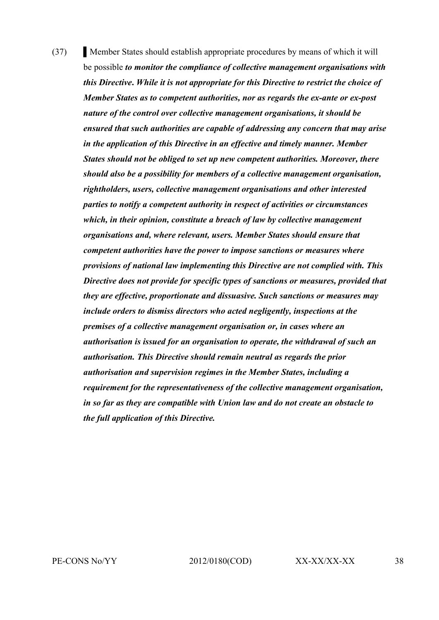(37) Nember States should establish appropriate procedures by means of which it will be possible *to monitor the compliance of collective management organisations with this Directive***.** *While it is not appropriate for this Directive to restrict the choice of Member States as to competent authorities, nor as regards the ex-ante or ex-post nature of the control over collective management organisations, it should be ensured that such authorities are capable of addressing any concern that may arise in the application of this Directive in an effective and timely manner. Member States should not be obliged to set up new competent authorities. Moreover, there should also be a possibility for members of a collective management organisation, rightholders, users, collective management organisations and other interested parties to notify a competent authority in respect of activities or circumstances which, in their opinion, constitute a breach of law by collective management organisations and, where relevant, users. Member States should ensure that competent authorities have the power to impose sanctions or measures where provisions of national law implementing this Directive are not complied with. This Directive does not provide for specific types of sanctions or measures, provided that they are effective, proportionate and dissuasive. Such sanctions or measures may include orders to dismiss directors who acted negligently, inspections at the premises of a collective management organisation or, in cases where an authorisation is issued for an organisation to operate, the withdrawal of such an authorisation. This Directive should remain neutral as regards the prior authorisation and supervision regimes in the Member States, including a requirement for the representativeness of the collective management organisation, in so far as they are compatible with Union law and do not create an obstacle to the full application of this Directive.*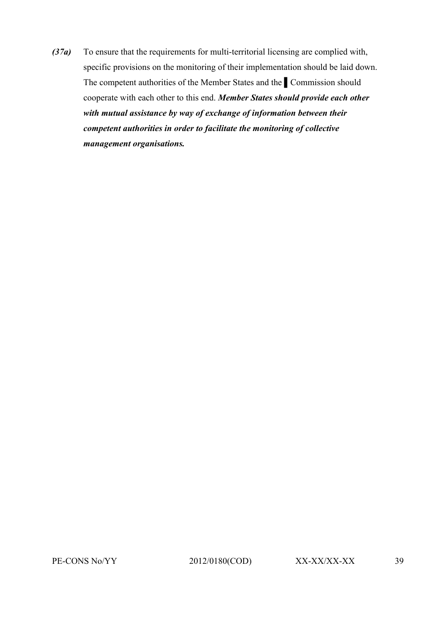*(37a)* To ensure that the requirements for multi-territorial licensing are complied with, specific provisions on the monitoring of their implementation should be laid down. The competent authorities of the Member States and the ▌Commission should cooperate with each other to this end. *Member States should provide each other with mutual assistance by way of exchange of information between their competent authorities in order to facilitate the monitoring of collective management organisations.*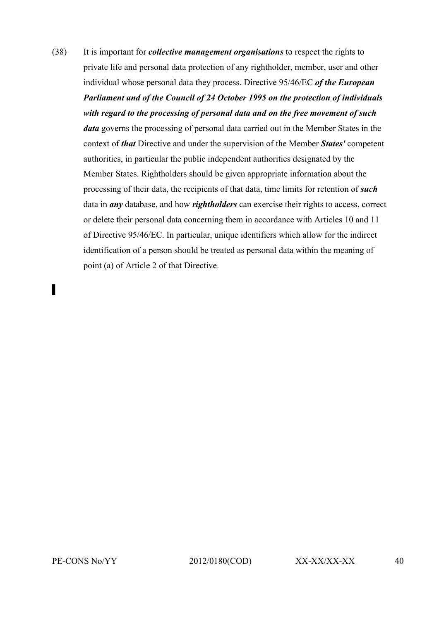(38) It is important for *collective management organisations* to respect the rights to private life and personal data protection of any rightholder, member, user and other individual whose personal data they process. Directive 95/46/EC *of the European Parliament and of the Council of 24 October 1995 on the protection of individuals with regard to the processing of personal data and on the free movement of such data* governs the processing of personal data carried out in the Member States in the context of *that* Directive and under the supervision of the Member *States'* competent authorities, in particular the public independent authorities designated by the Member States. Rightholders should be given appropriate information about the processing of their data, the recipients of that data, time limits for retention of *such* data in *any* database, and how *rightholders* can exercise their rights to access, correct or delete their personal data concerning them in accordance with Articles 10 and 11 of Directive 95/46/EC. In particular, unique identifiers which allow for the indirect identification of a person should be treated as personal data within the meaning of point (a) of Article 2 of that Directive.

▌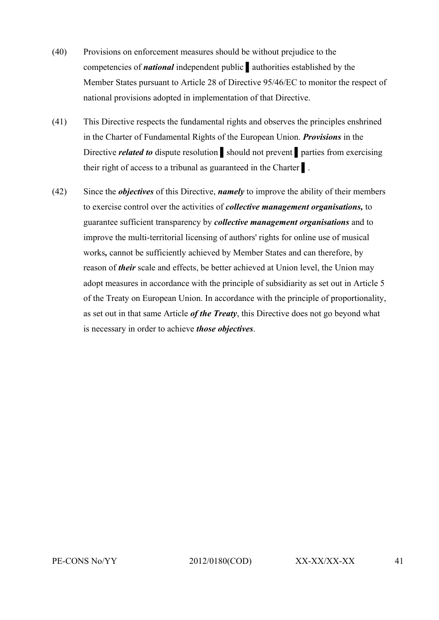- (40) Provisions on enforcement measures should be without prejudice to the competencies of *national* independent public ▌authorities established by the Member States pursuant to Article 28 of Directive 95/46/EC to monitor the respect of national provisions adopted in implementation of that Directive.
- (41) This Directive respects the fundamental rights and observes the principles enshrined in the Charter of Fundamental Rights of the European Union. *Provisions* in the Directive *related to* dispute resolution should not prevent parties from exercising their right of access to a tribunal as guaranteed in the Charter ▌.
- (42) Since the *objectives* of this Directive, *namely* to improve the ability of their members to exercise control over the activities of *collective management organisations,* to guarantee sufficient transparency by *collective management organisations* and to improve the multi-territorial licensing of authors' rights for online use of musical works*,* cannot be sufficiently achieved by Member States and can therefore, by reason of *their* scale and effects, be better achieved at Union level, the Union may adopt measures in accordance with the principle of subsidiarity as set out in Article 5 of the Treaty on European Union. In accordance with the principle of proportionality, as set out in that same Article *of the Treaty*, this Directive does not go beyond what is necessary in order to achieve *those objectives*.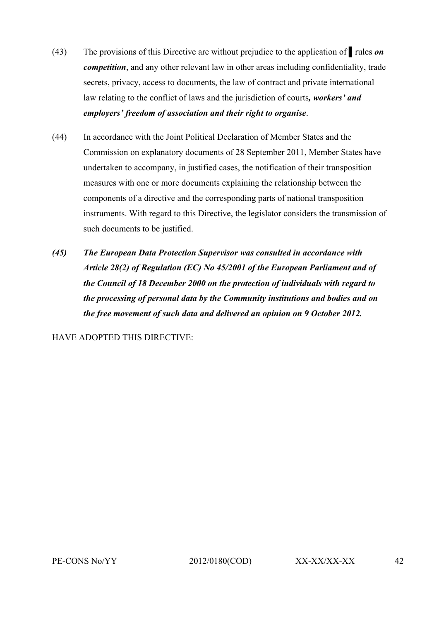- (43) The provisions of this Directive are without prejudice to the application of ▌rules *on competition*, and any other relevant law in other areas including confidentiality, trade secrets, privacy, access to documents, the law of contract and private international law relating to the conflict of laws and the jurisdiction of courts*, workers' and employers' freedom of association and their right to organise*.
- (44) In accordance with the Joint Political Declaration of Member States and the Commission on explanatory documents of 28 September 2011, Member States have undertaken to accompany, in justified cases, the notification of their transposition measures with one or more documents explaining the relationship between the components of a directive and the corresponding parts of national transposition instruments. With regard to this Directive, the legislator considers the transmission of such documents to be justified.
- *(45) The European Data Protection Supervisor was consulted in accordance with Article 28(2) of Regulation (EC) No 45/2001 of the European Parliament and of the Council of 18 December 2000 on the protection of individuals with regard to the processing of personal data by the Community institutions and bodies and on the free movement of such data and delivered an opinion on 9 October 2012.*

HAVE ADOPTED THIS DIRECTIVE: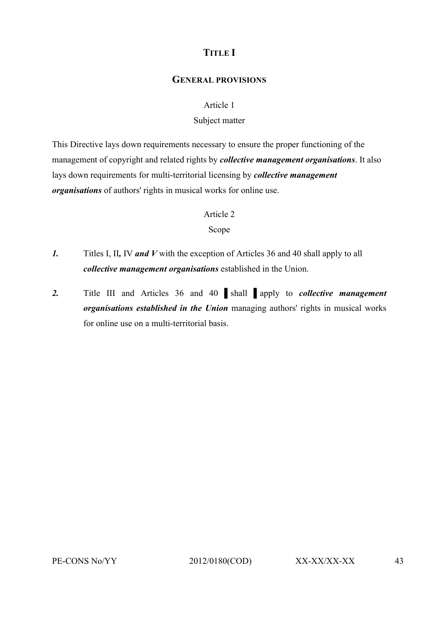### **TITLE I**

#### **GENERAL PROVISIONS**

#### Article 1

#### Subject matter

This Directive lays down requirements necessary to ensure the proper functioning of the management of copyright and related rights by *collective management organisations*. It also lays down requirements for multi-territorial licensing by *collective management organisations* of authors' rights in musical works for online use.

#### Article 2

#### Scope

- *1.* Titles I, II*,* IV *and V* with the exception of Articles 36 and 40 shall apply to all *collective management organisations* established in the Union.
- *2.* Title III and Articles 36 and 40 ▌shall ▌apply to *collective management organisations established in the Union* managing authors' rights in musical works for online use on a multi-territorial basis.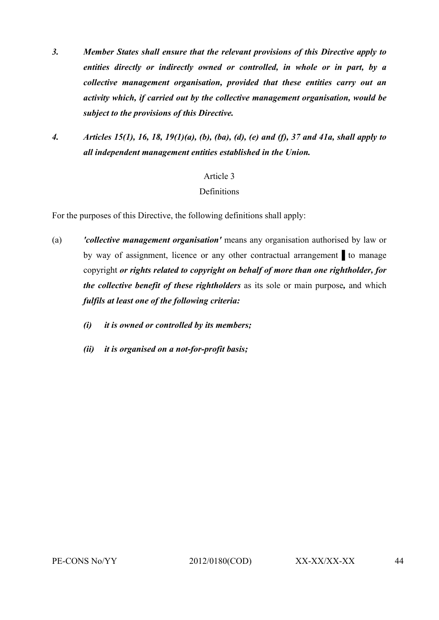- *3. Member States shall ensure that the relevant provisions of this Directive apply to entities directly or indirectly owned or controlled, in whole or in part, by a collective management organisation, provided that these entities carry out an activity which, if carried out by the collective management organisation, would be subject to the provisions of this Directive.*
- *4. Articles 15(1), 16, 18, 19(1)(a), (b), (ba), (d), (e) and (f), 37 and 41a, shall apply to all independent management entities established in the Union.*

#### **Definitions**

For the purposes of this Directive, the following definitions shall apply:

- (a) *'collective management organisation'* means any organisation authorised by law or by way of assignment, licence or any other contractual arrangement ▌to manage copyright *or rights related to copyright on behalf of more than one rightholder, for the collective benefit of these rightholders* as its sole or main purpose*,* and which *fulfils at least one of the following criteria:*
	- *(i) it is owned or controlled by its members;*
	- *(ii) it is organised on a not-for-profit basis;*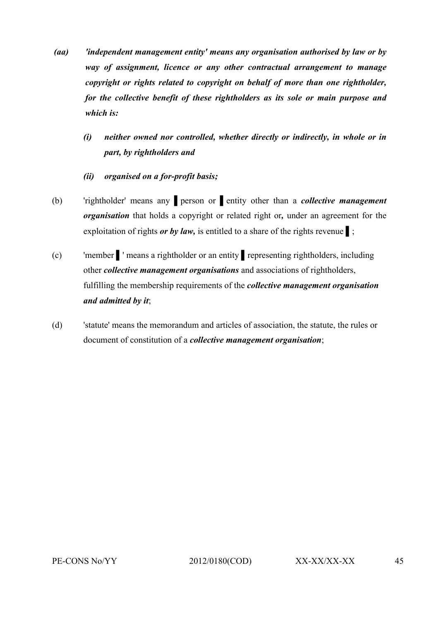- *(aa) 'independent management entity' means any organisation authorised by law or by way of assignment, licence or any other contractual arrangement to manage copyright or rights related to copyright on behalf of more than one rightholder, for the collective benefit of these rightholders as its sole or main purpose and which is:*
	- *(i) neither owned nor controlled, whether directly or indirectly, in whole or in part, by rightholders and*
	- *(ii) organised on a for-profit basis;*
- (b) 'rightholder' means any ▌person or ▌entity other than a *collective management organisation* that holds a copyright or related right or*,* under an agreement for the exploitation of rights *or by law*, is entitled to a share of the rights revenue **i**;
- (c) 'member ▌' means a rightholder or an entity ▌representing rightholders, including other *collective management organisations* and associations of rightholders, fulfilling the membership requirements of the *collective management organisation and admitted by it*;
- (d) 'statute' means the memorandum and articles of association, the statute, the rules or document of constitution of a *collective management organisation*;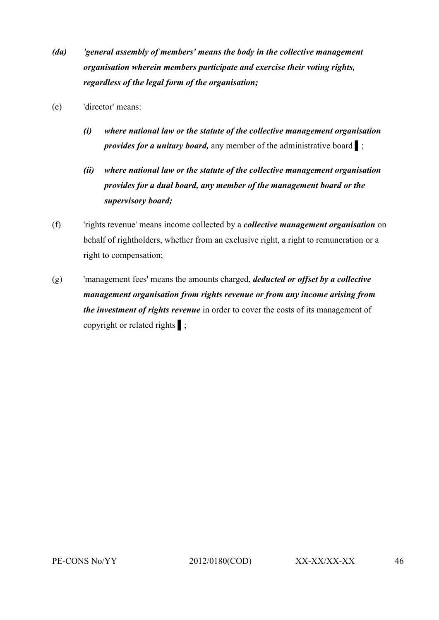- *(da) 'general assembly of members' means the body in the collective management organisation wherein members participate and exercise their voting rights, regardless of the legal form of the organisation;*
- (e) 'director' means:
	- *(i) where national law or the statute of the collective management organisation provides for a unitary board,* any member of the administrative board **i**;
	- *(ii) where national law or the statute of the collective management organisation provides for a dual board, any member of the management board or the supervisory board;*
- (f) 'rights revenue' means income collected by a *collective management organisation* on behalf of rightholders, whether from an exclusive right, a right to remuneration or a right to compensation;
- (g) 'management fees' means the amounts charged, *deducted or offset by a collective management organisation from rights revenue or from any income arising from the investment of rights revenue* in order to cover the costs of its management of copyright or related rights ▌;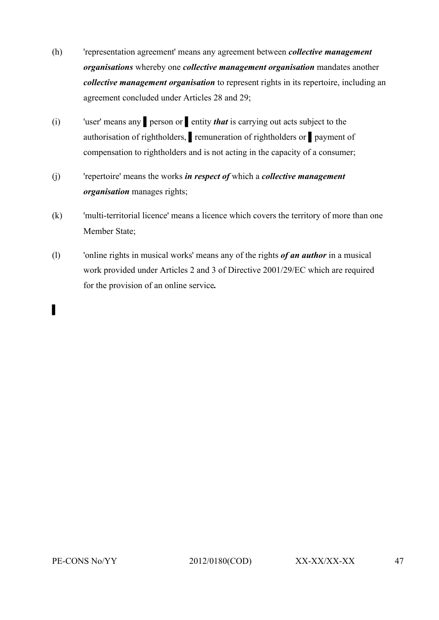- (h) 'representation agreement' means any agreement between *collective management organisations* whereby one *collective management organisation* mandates another *collective management organisation* to represent rights in its repertoire, including an agreement concluded under Articles 28 and 29;
- (i) 'user' means any ▌person or ▌entity *that* is carrying out acts subject to the authorisation of rightholders, ▌remuneration of rightholders or ▌payment of compensation to rightholders and is not acting in the capacity of a consumer;
- (j) 'repertoire' means the works *in respect of* which a *collective management organisation* manages rights;
- (k) 'multi-territorial licence' means a licence which covers the territory of more than one Member State;
- (l) 'online rights in musical works' means any of the rights *of an author* in a musical work provided under Articles 2 and 3 of Directive 2001/29/EC which are required for the provision of an online service*.*

# ▌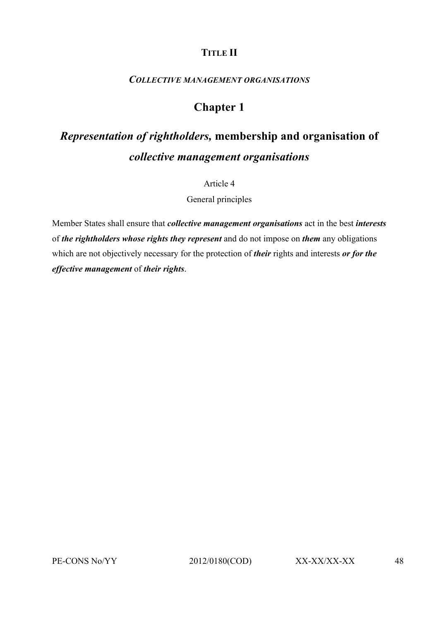### **TITLE II**

#### *COLLECTIVE MANAGEMENT ORGANISATIONS*

### **Chapter 1**

# *Representation of rightholders,* **membership and organisation of**  *collective management organisations*

Article 4

General principles

Member States shall ensure that *collective management organisations* act in the best *interests* of *the rightholders whose rights they represent* and do not impose on *them* any obligations which are not objectively necessary for the protection of *their* rights and interests *or for the effective management* of *their rights*.

PE-CONS No/YY 2012/0180(COD) XX-XX/XX-XX 48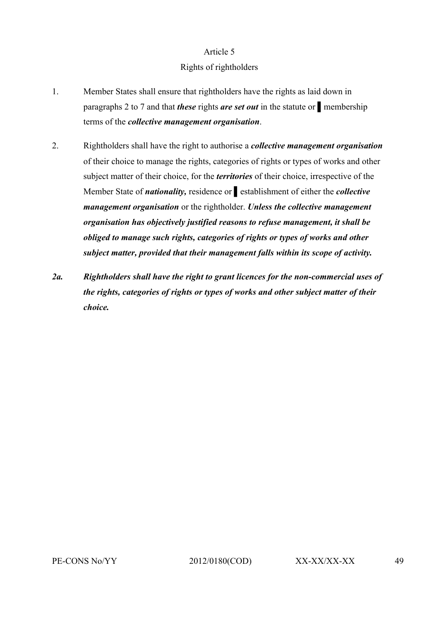#### Rights of rightholders

- 1. Member States shall ensure that rightholders have the rights as laid down in paragraphs 2 to 7 and that *these* rights *are set out* in the statute or ▌membership terms of the *collective management organisation*.
- 2. Rightholders shall have the right to authorise a *collective management organisation* of their choice to manage the rights, categories of rights or types of works and other subject matter of their choice, for the *territories* of their choice, irrespective of the Member State of *nationality,* residence or ▌establishment of either the *collective management organisation* or the rightholder. *Unless the collective management organisation has objectively justified reasons to refuse management, it shall be obliged to manage such rights, categories of rights or types of works and other subject matter, provided that their management falls within its scope of activity.*
- *2a. Rightholders shall have the right to grant licences for the non-commercial uses of the rights, categories of rights or types of works and other subject matter of their choice.*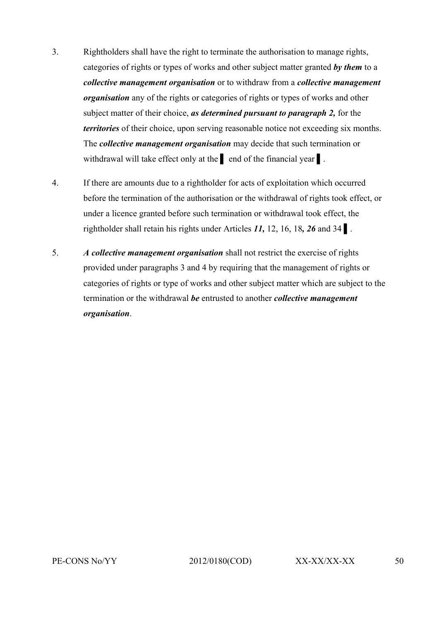- 3. Rightholders shall have the right to terminate the authorisation to manage rights, categories of rights or types of works and other subject matter granted *by them* to a *collective management organisation* or to withdraw from a *collective management organisation* any of the rights or categories of rights or types of works and other subject matter of their choice, *as determined pursuant to paragraph 2,* for the *territories* of their choice, upon serving reasonable notice not exceeding six months. The *collective management organisation* may decide that such termination or withdrawal will take effect only at the lend of the financial year **a**.
- 4. If there are amounts due to a rightholder for acts of exploitation which occurred before the termination of the authorisation or the withdrawal of rights took effect, or under a licence granted before such termination or withdrawal took effect, the rightholder shall retain his rights under Articles *11,* 12, 16, 18*, 26* and 34 ▌.
- 5. *A collective management organisation* shall not restrict the exercise of rights provided under paragraphs 3 and 4 by requiring that the management of rights or categories of rights or type of works and other subject matter which are subject to the termination or the withdrawal *be* entrusted to another *collective management organisation*.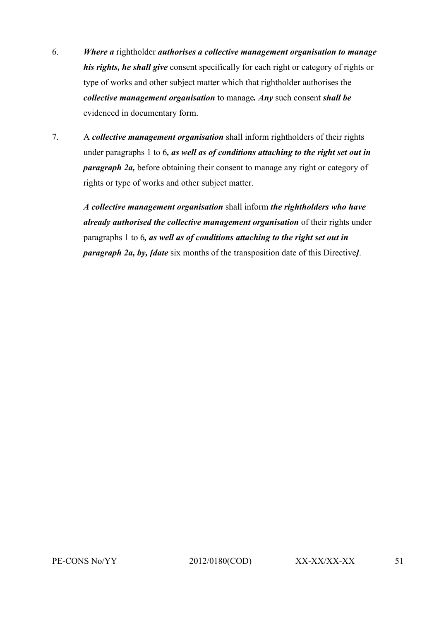- 6. *Where a* rightholder *authorises a collective management organisation to manage his rights, he shall give* consent specifically for each right or category of rights or type of works and other subject matter which that rightholder authorises the *collective management organisation* to manage*. Any* such consent *shall be* evidenced in documentary form.
- 7. A *collective management organisation* shall inform rightholders of their rights under paragraphs 1 to 6*, as well as of conditions attaching to the right set out in paragraph 2a,* before obtaining their consent to manage any right or category of rights or type of works and other subject matter.

*A collective management organisation* shall inform *the rightholders who have already authorised the collective management organisation* of their rights under paragraphs 1 to 6*, as well as of conditions attaching to the right set out in paragraph 2a, by, [date* six months of the transposition date of this Directive*]*.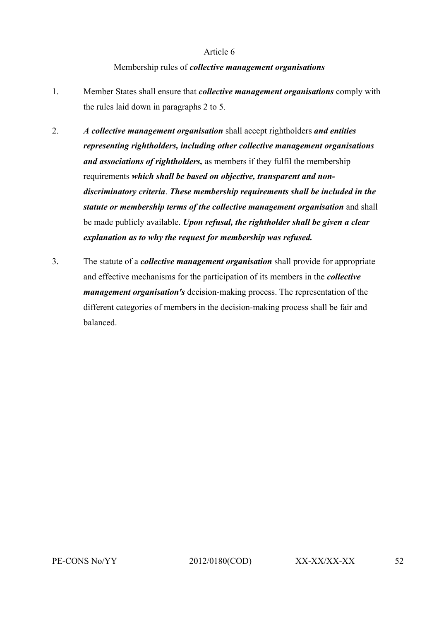#### Membership rules of *collective management organisations*

- 1. Member States shall ensure that *collective management organisations* comply with the rules laid down in paragraphs 2 to 5.
- 2. *A collective management organisation* shall accept rightholders *and entities representing rightholders, including other collective management organisations and associations of rightholders,* as members if they fulfil the membership requirements *which shall be based on objective, transparent and nondiscriminatory criteria*. *These membership requirements shall be included in the statute or membership terms of the collective management organisation* and shall be made publicly available. *Upon refusal, the rightholder shall be given a clear explanation as to why the request for membership was refused.*
- 3. The statute of a *collective management organisation* shall provide for appropriate and effective mechanisms for the participation of its members in the *collective management organisation's* decision-making process. The representation of the different categories of members in the decision-making process shall be fair and balanced.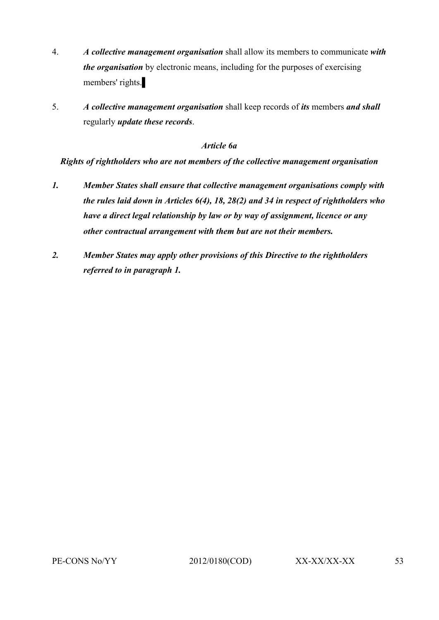- 4. *A collective management organisation* shall allow its members to communicate *with the organisation* by electronic means, including for the purposes of exercising members' rights.
- 5. *A collective management organisation* shall keep records of *its* members *and shall* regularly *update these records*.

#### *Article 6a*

*Rights of rightholders who are not members of the collective management organisation*

- *1. Member States shall ensure that collective management organisations comply with the rules laid down in Articles 6(4), 18, 28(2) and 34 in respect of rightholders who have a direct legal relationship by law or by way of assignment, licence or any other contractual arrangement with them but are not their members.*
- *2. Member States may apply other provisions of this Directive to the rightholders referred to in paragraph 1.*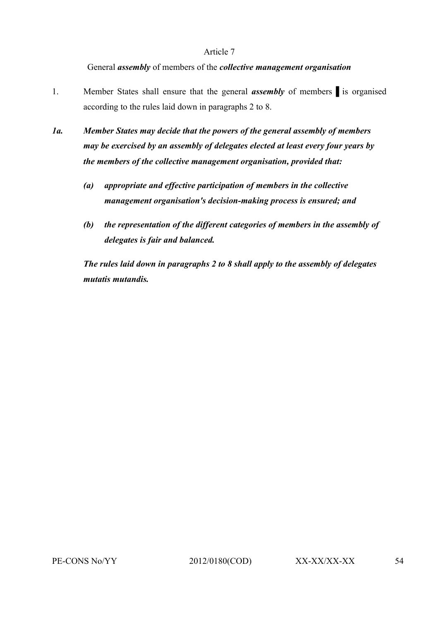#### General *assembly* of members of the *collective management organisation*

- 1. Member States shall ensure that the general **assembly** of members is organised according to the rules laid down in paragraphs 2 to 8.
- *1a. Member States may decide that the powers of the general assembly of members may be exercised by an assembly of delegates elected at least every four years by the members of the collective management organisation, provided that:*
	- *(a) appropriate and effective participation of members in the collective management organisation's decision-making process is ensured; and*
	- *(b) the representation of the different categories of members in the assembly of delegates is fair and balanced.*

*The rules laid down in paragraphs 2 to 8 shall apply to the assembly of delegates mutatis mutandis.*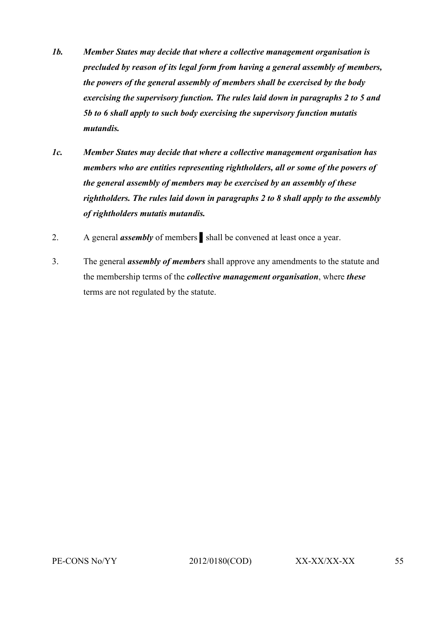- *1b. Member States may decide that where a collective management organisation is precluded by reason of its legal form from having a general assembly of members, the powers of the general assembly of members shall be exercised by the body exercising the supervisory function. The rules laid down in paragraphs 2 to 5 and 5b to 6 shall apply to such body exercising the supervisory function mutatis mutandis.*
- *1c. Member States may decide that where a collective management organisation has members who are entities representing rightholders, all or some of the powers of the general assembly of members may be exercised by an assembly of these rightholders. The rules laid down in paragraphs 2 to 8 shall apply to the assembly of rightholders mutatis mutandis.*
- 2. A general **assembly** of members shall be convened at least once a year.
- 3. The general *assembly of members* shall approve any amendments to the statute and the membership terms of the *collective management organisation*, where *these* terms are not regulated by the statute.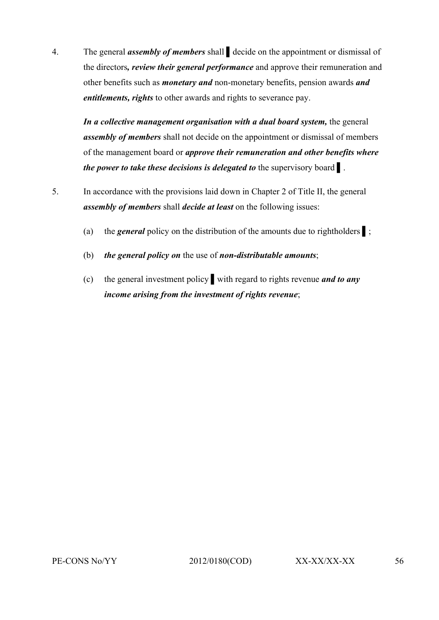4. The general *assembly of members* shall ▌decide on the appointment or dismissal of the directors*, review their general performance* and approve their remuneration and other benefits such as *monetary and* non-monetary benefits, pension awards *and entitlements, rights* to other awards and rights to severance pay.

In a collective management organisation with a dual board system, the general *assembly of members* shall not decide on the appointment or dismissal of members of the management board or *approve their remuneration and other benefits where the power to take these decisions is delegated to the supervisory board* 1.

- 5. In accordance with the provisions laid down in Chapter 2 of Title II, the general *assembly of members* shall *decide at least* on the following issues:
	- (a) the *general* policy on the distribution of the amounts due to rightholders ▌;
	- (b) *the general policy on* the use of *non-distributable amounts*;
	- (c) the general investment policy ▌with regard to rights revenue *and to any income arising from the investment of rights revenue*;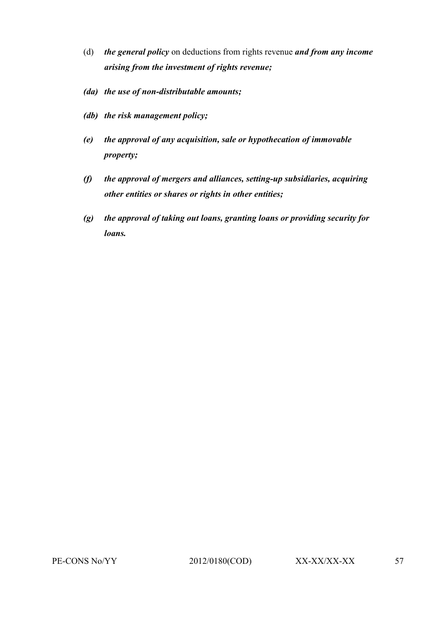- (d) *the general policy* on deductions from rights revenue *and from any income arising from the investment of rights revenue;*
- *(da) the use of non-distributable amounts;*
- *(db) the risk management policy;*
- *(e) the approval of any acquisition, sale or hypothecation of immovable property;*
- *(f) the approval of mergers and alliances, setting-up subsidiaries, acquiring other entities or shares or rights in other entities;*
- *(g) the approval of taking out loans, granting loans or providing security for loans.*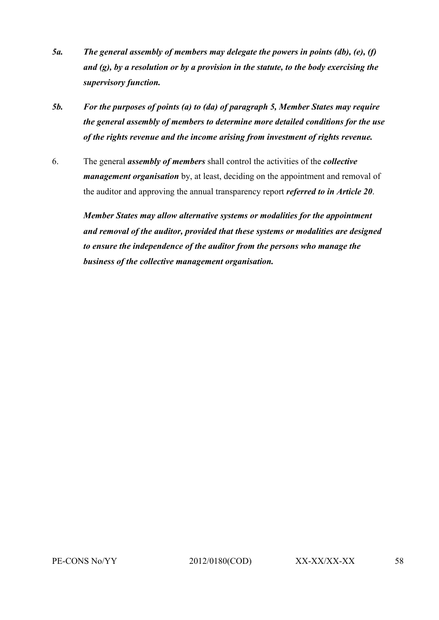- *5a. The general assembly of members may delegate the powers in points (db), (e), (f) and (g), by a resolution or by a provision in the statute, to the body exercising the supervisory function.*
- *5b. For the purposes of points (a) to (da) of paragraph 5, Member States may require the general assembly of members to determine more detailed conditions for the use of the rights revenue and the income arising from investment of rights revenue.*
- 6. The general *assembly of members* shall control the activities of the *collective management organisation* by, at least, deciding on the appointment and removal of the auditor and approving the annual transparency report *referred to in Article 20*.

*Member States may allow alternative systems or modalities for the appointment and removal of the auditor, provided that these systems or modalities are designed to ensure the independence of the auditor from the persons who manage the business of the collective management organisation.*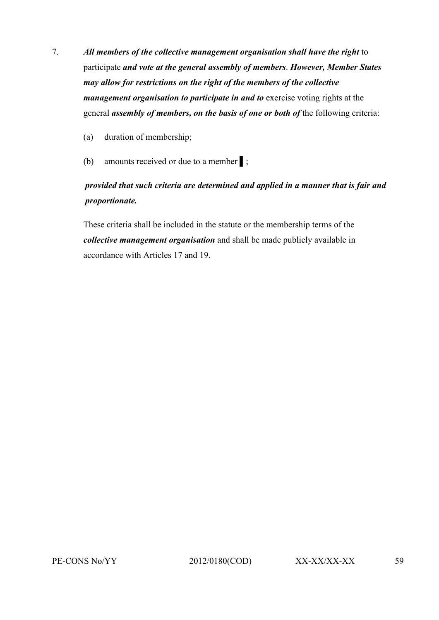- 7. *All members of the collective management organisation shall have the right* to participate *and vote at the general assembly of members*. *However, Member States may allow for restrictions on the right of the members of the collective management organisation to participate in and to exercise voting rights at the* general *assembly of members, on the basis of one or both of* the following criteria:
	- (a) duration of membership;
	- (b) amounts received or due to a member ▌;

### *provided that such criteria are determined and applied in a manner that is fair and proportionate.*

These criteria shall be included in the statute or the membership terms of the *collective management organisation* and shall be made publicly available in accordance with Articles 17 and 19.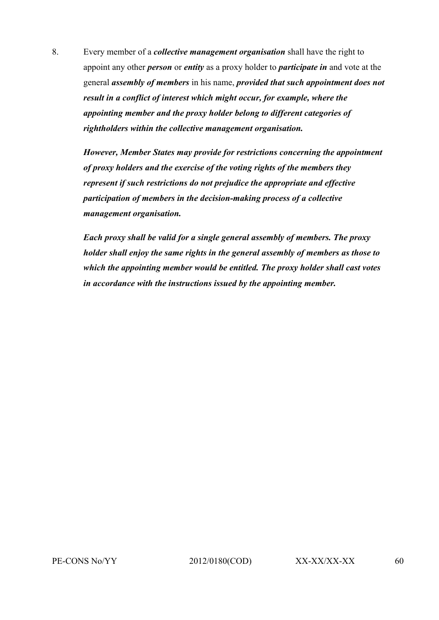8. Every member of a *collective management organisation* shall have the right to appoint any other *person* or *entity* as a proxy holder to *participate in* and vote at the general *assembly of members* in his name, *provided that such appointment does not result in a conflict of interest which might occur, for example, where the appointing member and the proxy holder belong to different categories of rightholders within the collective management organisation.*

*However, Member States may provide for restrictions concerning the appointment of proxy holders and the exercise of the voting rights of the members they represent if such restrictions do not prejudice the appropriate and effective participation of members in the decision-making process of a collective management organisation.*

*Each proxy shall be valid for a single general assembly of members. The proxy holder shall enjoy the same rights in the general assembly of members as those to which the appointing member would be entitled. The proxy holder shall cast votes in accordance with the instructions issued by the appointing member.*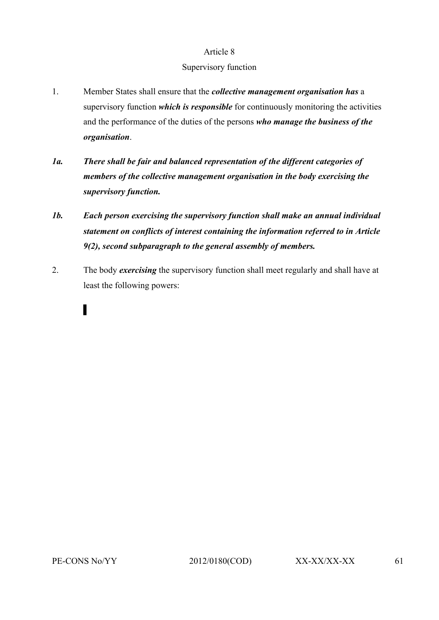#### Supervisory function

- 1. Member States shall ensure that the *collective management organisation has* a supervisory function *which is responsible* for continuously monitoring the activities and the performance of the duties of the persons *who manage the business of the organisation*.
- *1a. There shall be fair and balanced representation of the different categories of members of the collective management organisation in the body exercising the supervisory function.*
- *1b. Each person exercising the supervisory function shall make an annual individual statement on conflicts of interest containing the information referred to in Article 9(2), second subparagraph to the general assembly of members.*
- 2. The body *exercising* the supervisory function shall meet regularly and shall have at least the following powers:

▌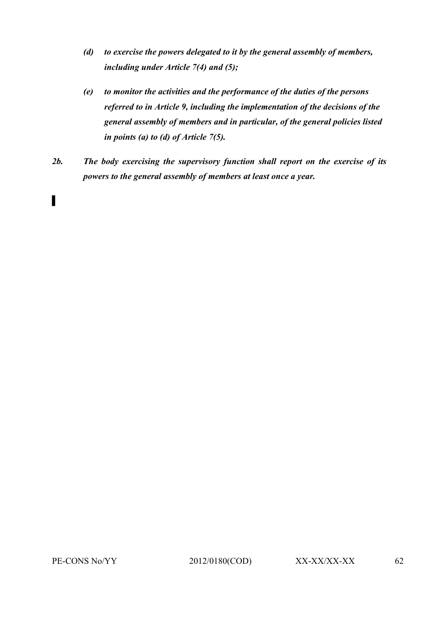- *(d) to exercise the powers delegated to it by the general assembly of members, including under Article 7(4) and (5);*
- *(e) to monitor the activities and the performance of the duties of the persons referred to in Article 9, including the implementation of the decisions of the general assembly of members and in particular, of the general policies listed in points (a) to (d) of Article 7(5).*
- *2b. The body exercising the supervisory function shall report on the exercise of its powers to the general assembly of members at least once a year.*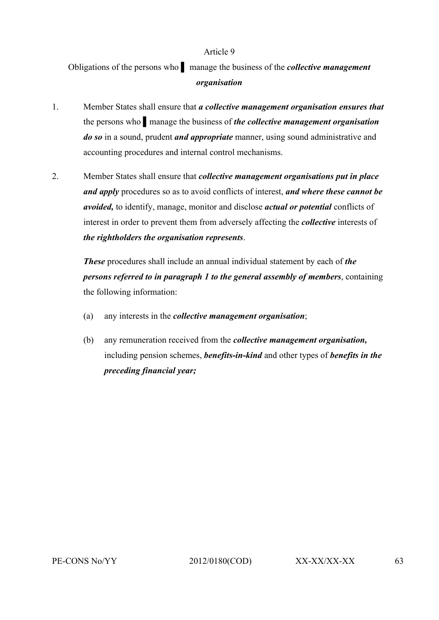Obligations of the persons who ▌ manage the business of the *collective management organisation*

- 1. Member States shall ensure that *a collective management organisation ensures that*  the persons who ▌manage the business of *the collective management organisation do so* in a sound, prudent *and appropriate* manner, using sound administrative and accounting procedures and internal control mechanisms.
- 2. Member States shall ensure that *collective management organisations put in place and apply* procedures so as to avoid conflicts of interest, *and where these cannot be avoided,* to identify, manage, monitor and disclose *actual or potential* conflicts of interest in order to prevent them from adversely affecting the *collective* interests of *the rightholders the organisation represents*.

*These* procedures shall include an annual individual statement by each of *the persons referred to in paragraph 1 to the general assembly of members*, containing the following information:

- (a) any interests in the *collective management organisation*;
- (b) any remuneration received from the *collective management organisation,* including pension schemes, *benefits-in-kind* and other types of *benefits in the preceding financial year;*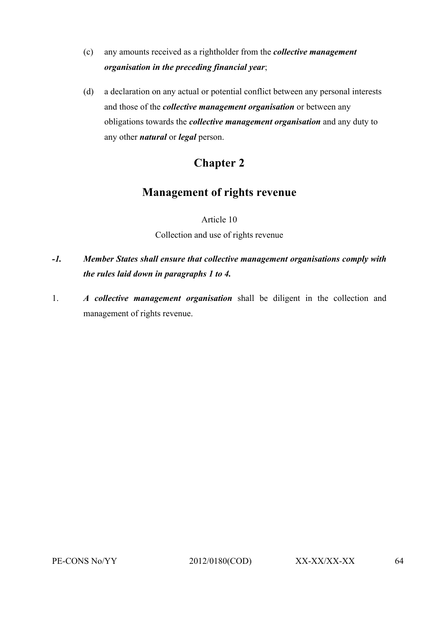- (c) any amounts received as a rightholder from the *collective management organisation in the preceding financial year*;
- (d) a declaration on any actual or potential conflict between any personal interests and those of the *collective management organisation* or between any obligations towards the *collective management organisation* and any duty to any other *natural* or *legal* person.

# **Chapter 2**

## **Management of rights revenue**

Article 10 Collection and use of rights revenue

- *-1. Member States shall ensure that collective management organisations comply with the rules laid down in paragraphs 1 to 4.*
- 1. *A collective management organisation* shall be diligent in the collection and management of rights revenue.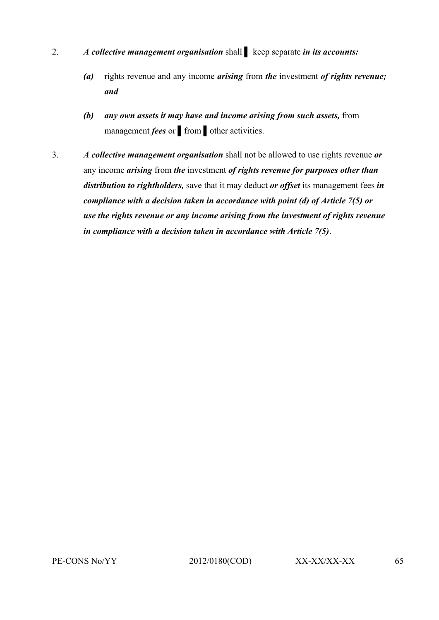- 2. *A collective management organisation* shall ▌ keep separate *in its accounts:*
	- *(a)* rights revenue and any income *arising* from *the* investment *of rights revenue; and*
	- *(b) any own assets it may have and income arising from such assets,* from management *fees* or from other activities.
- 3. *A collective management organisation* shall not be allowed to use rights revenue *or* any income *arising* from *the* investment *of rights revenue for purposes other than distribution to rightholders,* save that it may deduct *or offset* its management fees *in compliance with a decision taken in accordance with point (d) of Article 7(5) or use the rights revenue or any income arising from the investment of rights revenue in compliance with a decision taken in accordance with Article 7(5)*.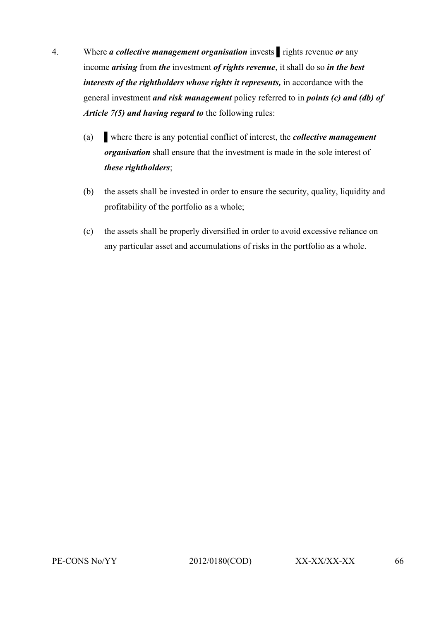- 4. Where *a collective management organisation* invests ▌rights revenue *or* any income *arising* from *the* investment *of rights revenue*, it shall do so *in the best interests of the rightholders whose rights it represents, in accordance with the* general investment *and risk management* policy referred to in *points (c) and (db) of Article 7(5) and having regard to* the following rules:
	- (a) ▌where there is any potential conflict of interest, the *collective management organisation* shall ensure that the investment is made in the sole interest of *these rightholders*;
	- (b) the assets shall be invested in order to ensure the security, quality, liquidity and profitability of the portfolio as a whole;
	- (c) the assets shall be properly diversified in order to avoid excessive reliance on any particular asset and accumulations of risks in the portfolio as a whole.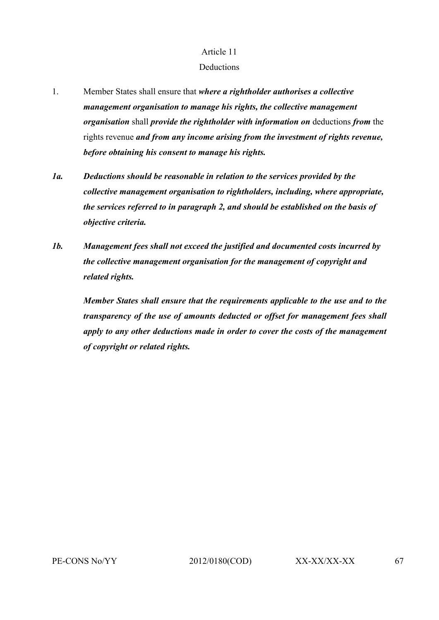#### **Deductions**

- 1. Member States shall ensure that *where a rightholder authorises a collective management organisation to manage his rights, the collective management organisation* shall *provide the rightholder with information on* deductions *from* the rights revenue *and from any income arising from the investment of rights revenue, before obtaining his consent to manage his rights.*
- *1a. Deductions should be reasonable in relation to the services provided by the collective management organisation to rightholders, including, where appropriate, the services referred to in paragraph 2, and should be established on the basis of objective criteria.*
- *1b. Management fees shall not exceed the justified and documented costs incurred by the collective management organisation for the management of copyright and related rights.*

*Member States shall ensure that the requirements applicable to the use and to the transparency of the use of amounts deducted or offset for management fees shall apply to any other deductions made in order to cover the costs of the management of copyright or related rights.*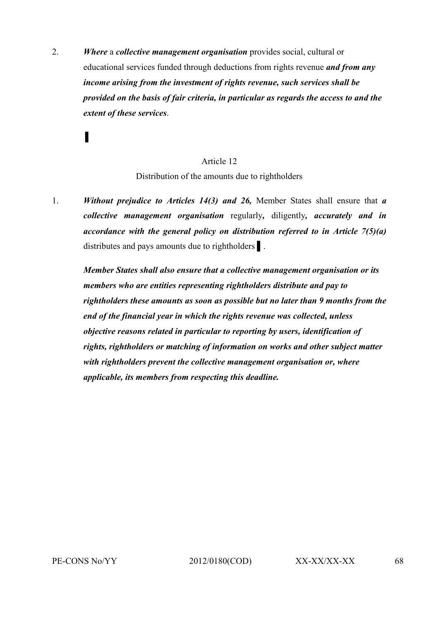2. *Where* a *collective management organisation* provides social, cultural or educational services funded through deductions from rights revenue *and from any income arising from the investment of rights revenue, such services shall be provided on the basis of fair criteria, in particular as regards the access to and the extent of these services*.

#### Article 12

Distribution of the amounts due to rightholders

1. *Without prejudice to Articles 14(3) and 26,* Member States shall ensure that *a collective management organisation* regularly*,* diligently*, accurately and in accordance with the general policy on distribution referred to in Article 7(5)(a)* distributes and pays amounts due to rightholders ▌.

*Member States shall also ensure that a collective management organisation or its members who are entities representing rightholders distribute and pay to rightholders these amounts as soon as possible but no later than 9 months from the end of the financial year in which the rights revenue was collected, unless objective reasons related in particular to reporting by users, identification of rights, rightholders or matching of information on works and other subject matter with rightholders prevent the collective management organisation or, where applicable, its members from respecting this deadline.*

*▌*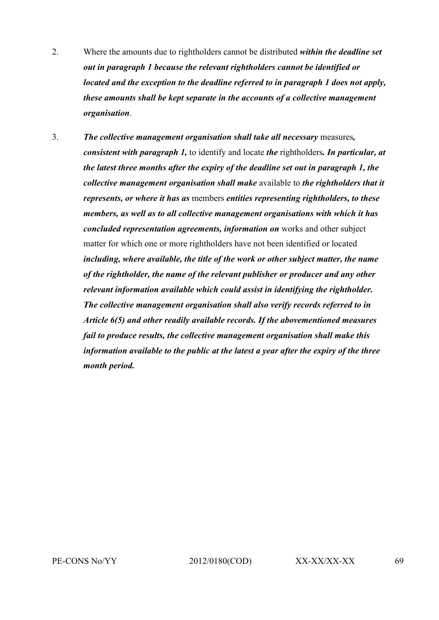- 2. Where the amounts due to rightholders cannot be distributed *within the deadline set out in paragraph 1 because the relevant rightholders cannot be identified or located and the exception to the deadline referred to in paragraph 1 does not apply, these amounts shall be kept separate in the accounts of a collective management organisation*.
- 3. *The collective management organisation shall take all necessary* measures*, consistent with paragraph 1,* to identify and locate *the* rightholders*. In particular, at the latest three months after the expiry of the deadline set out in paragraph 1, the collective management organisation shall make* available to *the rightholders that it represents, or where it has as* members *entities representing rightholders, to these members, as well as to all collective management organisations with which it has concluded representation agreements, information on* works and other subject matter for which one or more rightholders have not been identified or located *including, where available, the title of the work or other subject matter, the name of the rightholder, the name of the relevant publisher or producer and any other relevant information available which could assist in identifying the rightholder. The collective management organisation shall also verify records referred to in Article 6(5) and other readily available records. If the abovementioned measures fail to produce results, the collective management organisation shall make this information available to the public at the latest a year after the expiry of the three month period.*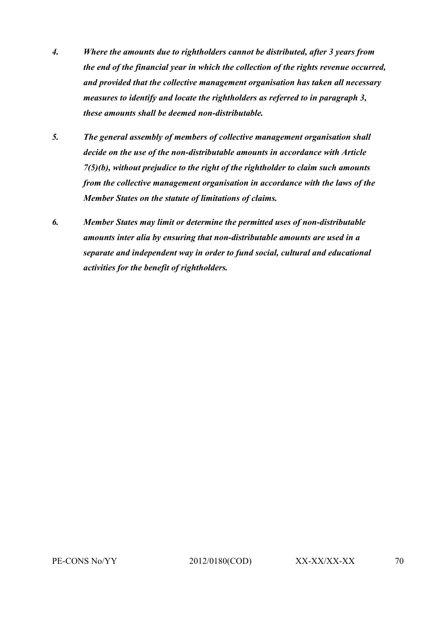- *4. Where the amounts due to rightholders cannot be distributed, after 3 years from the end of the financial year in which the collection of the rights revenue occurred, and provided that the collective management organisation has taken all necessary measures to identify and locate the rightholders as referred to in paragraph 3, these amounts shall be deemed non-distributable.*
- *5. The general assembly of members of collective management organisation shall decide on the use of the non-distributable amounts in accordance with Article 7(5)(b), without prejudice to the right of the rightholder to claim such amounts from the collective management organisation in accordance with the laws of the Member States on the statute of limitations of claims.*
- *6. Member States may limit or determine the permitted uses of non-distributable amounts inter alia by ensuring that non-distributable amounts are used in a separate and independent way in order to fund social, cultural and educational activities for the benefit of rightholders.*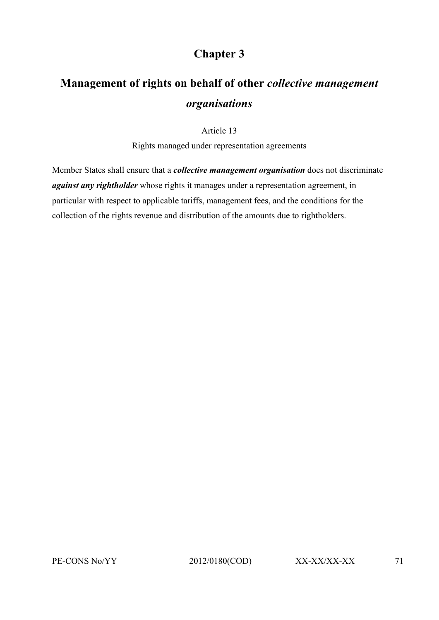# **Chapter 3**

# **Management of rights on behalf of other** *collective management organisations*

Article 13

Rights managed under representation agreements

Member States shall ensure that a *collective management organisation* does not discriminate *against any rightholder* whose rights it manages under a representation agreement, in particular with respect to applicable tariffs, management fees, and the conditions for the collection of the rights revenue and distribution of the amounts due to rightholders.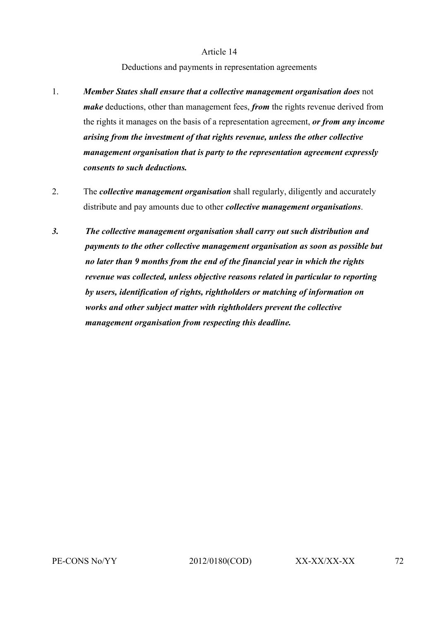#### Deductions and payments in representation agreements

- 1. *Member States shall ensure that a collective management organisation does* not *make* deductions, other than management fees, *from* the rights revenue derived from the rights it manages on the basis of a representation agreement, *or from any income arising from the investment of that rights revenue, unless the other collective management organisation that is party to the representation agreement expressly consents to such deductions.*
- 2. The *collective management organisation* shall regularly, diligently and accurately distribute and pay amounts due to other *collective management organisations*.
- *3. The collective management organisation shall carry out such distribution and payments to the other collective management organisation as soon as possible but no later than 9 months from the end of the financial year in which the rights revenue was collected, unless objective reasons related in particular to reporting by users, identification of rights, rightholders or matching of information on works and other subject matter with rightholders prevent the collective management organisation from respecting this deadline.*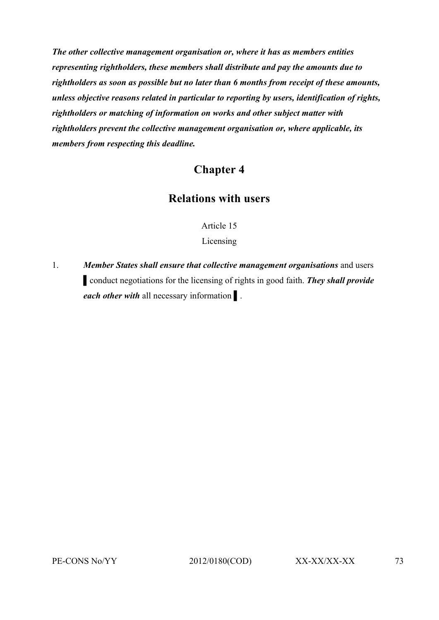*The other collective management organisation or, where it has as members entities representing rightholders, these members shall distribute and pay the amounts due to rightholders as soon as possible but no later than 6 months from receipt of these amounts, unless objective reasons related in particular to reporting by users, identification of rights, rightholders or matching of information on works and other subject matter with rightholders prevent the collective management organisation or, where applicable, its members from respecting this deadline.*

# **Chapter 4**

# **Relations with users**

Article 15

Licensing

1. *Member States shall ensure that collective management organisations* and users ▌conduct negotiations for the licensing of rights in good faith. *They shall provide each other with all necessary information*.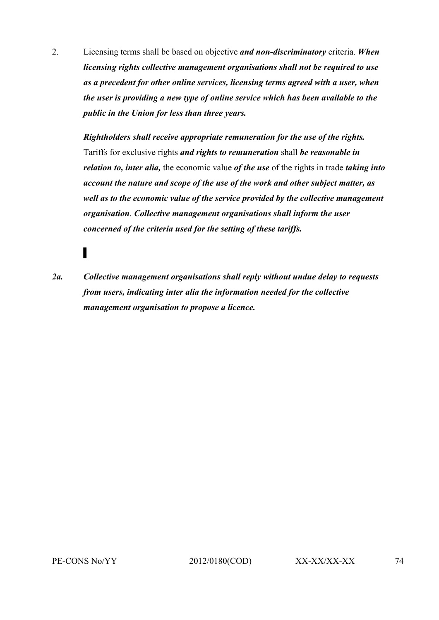2. Licensing terms shall be based on objective *and non-discriminatory* criteria. *When licensing rights collective management organisations shall not be required to use as a precedent for other online services, licensing terms agreed with a user, when the user is providing a new type of online service which has been available to the public in the Union for less than three years.*

*Rightholders shall receive appropriate remuneration for the use of the rights.* Tariffs for exclusive rights *and rights to remuneration* shall *be reasonable in relation to, inter alia,* the economic value *of the use* of the rights in trade *taking into account the nature and scope of the use of the work and other subject matter, as well as to the economic value of the service provided by the collective management organisation*. *Collective management organisations shall inform the user concerned of the criteria used for the setting of these tariffs.*

*2a. Collective management organisations shall reply without undue delay to requests from users, indicating inter alia the information needed for the collective management organisation to propose a licence.*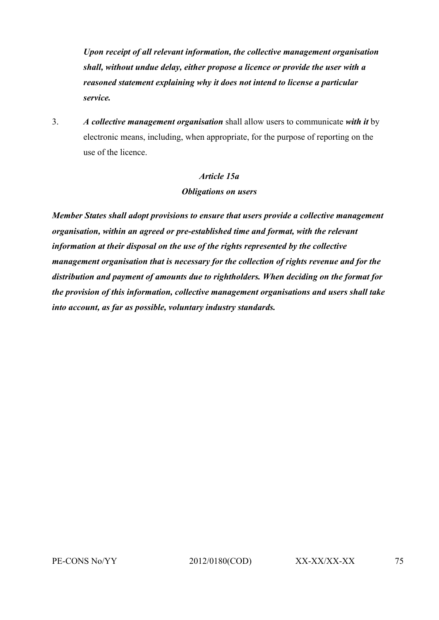*Upon receipt of all relevant information, the collective management organisation shall, without undue delay, either propose a licence or provide the user with a reasoned statement explaining why it does not intend to license a particular service.*

3. *A collective management organisation* shall allow users to communicate *with it* by electronic means, including, when appropriate, for the purpose of reporting on the use of the licence.

# *Article 15a Obligations on users*

*Member States shall adopt provisions to ensure that users provide a collective management organisation, within an agreed or pre-established time and format, with the relevant information at their disposal on the use of the rights represented by the collective management organisation that is necessary for the collection of rights revenue and for the distribution and payment of amounts due to rightholders. When deciding on the format for the provision of this information, collective management organisations and users shall take into account, as far as possible, voluntary industry standards.*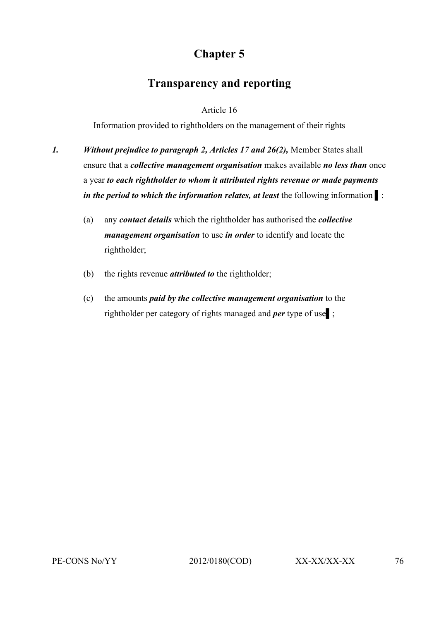# **Chapter 5**

# **Transparency and reporting**

# Article 16

Information provided to rightholders on the management of their rights

- *1. Without prejudice to paragraph 2, Articles 17 and 26(2),* Member States shall ensure that a *collective management organisation* makes available *no less than* once a year *to each rightholder to whom it attributed rights revenue or made payments in the period to which the information relates, at least* the following information  $\mathbf{r}$ :
	- (a) any *contact details* which the rightholder has authorised the *collective management organisation* to use *in order* to identify and locate the rightholder;
	- (b) the rights revenue *attributed to* the rightholder;
	- (c) the amounts *paid by the collective management organisation* to the rightholder per category of rights managed and *per* type of use▌;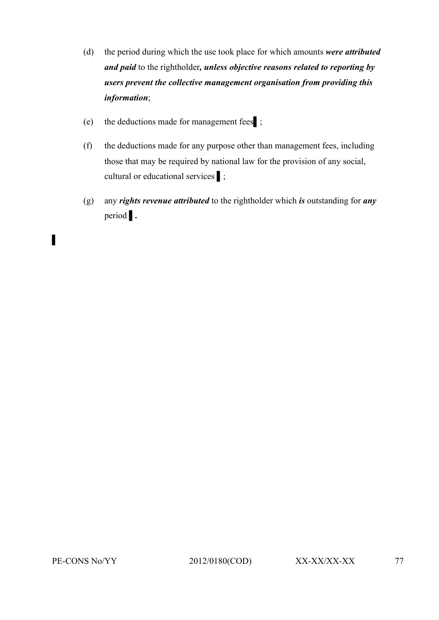- (d) the period during which the use took place for which amounts *were attributed and paid* to the rightholder*, unless objective reasons related to reporting by users prevent the collective management organisation from providing this information*;
- (e) the deductions made for management fees▌;
- (f) the deductions made for any purpose other than management fees, including those that may be required by national law for the provision of any social, cultural or educational services ▌;
- (g) any *rights revenue attributed* to the rightholder which *is* outstanding for *any*  period | .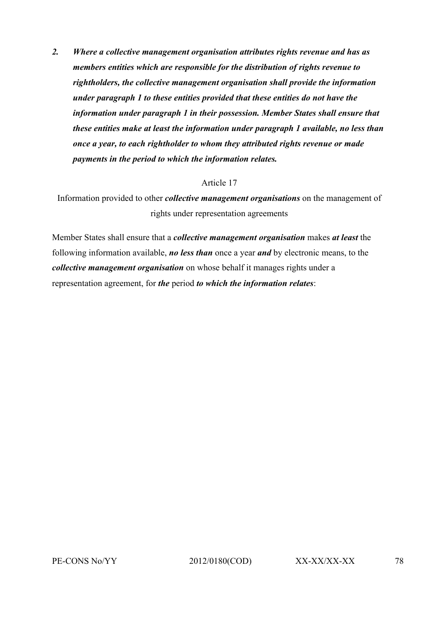*2. Where a collective management organisation attributes rights revenue and has as members entities which are responsible for the distribution of rights revenue to rightholders, the collective management organisation shall provide the information under paragraph 1 to these entities provided that these entities do not have the information under paragraph 1 in their possession. Member States shall ensure that these entities make at least the information under paragraph 1 available, no less than once a year, to each rightholder to whom they attributed rights revenue or made payments in the period to which the information relates.*

### Article 17

Information provided to other *collective management organisations* on the management of rights under representation agreements

Member States shall ensure that a *collective management organisation* makes *at least* the following information available, *no less than* once a year *and* by electronic means, to the *collective management organisation* on whose behalf it manages rights under a representation agreement, for *the* period *to which the information relates*: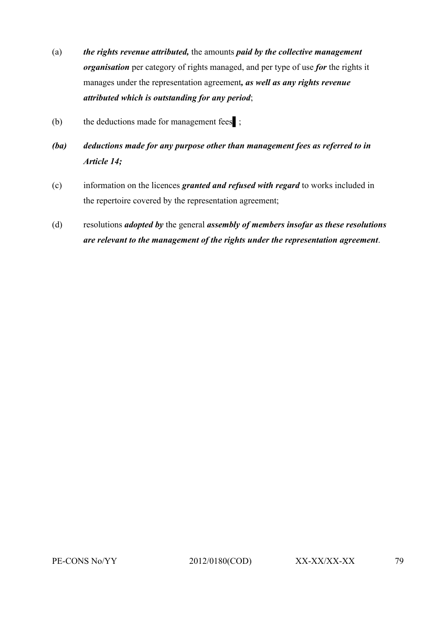- (a) *the rights revenue attributed,* the amounts *paid by the collective management organisation* per category of rights managed, and per type of use *for* the rights it manages under the representation agreement*, as well as any rights revenue attributed which is outstanding for any period*;
- (b) the deductions made for management fees ;
- *(ba) deductions made for any purpose other than management fees as referred to in Article 14;*
- (c) information on the licences *granted and refused with regard* to works included in the repertoire covered by the representation agreement;
- (d) resolutions *adopted by* the general *assembly of members insofar as these resolutions are relevant to the management of the rights under the representation agreement*.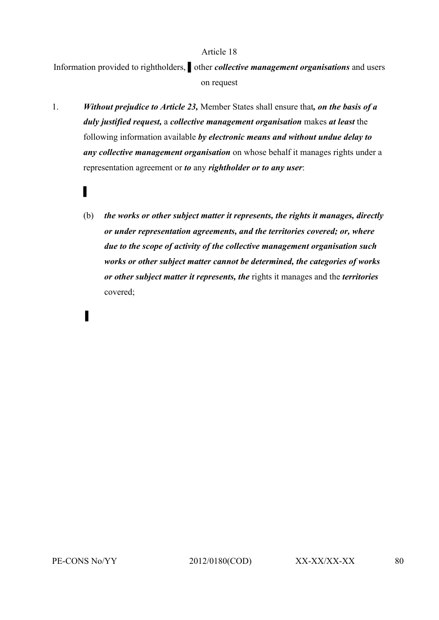Information provided to rightholders, *▌*other *collective management organisations* and users on request

- 1. *Without prejudice to Article 23,* Member States shall ensure that*, on the basis of a duly justified request,* a *collective management organisation* makes *at least* the following information available *by electronic means and without undue delay to any collective management organisation* on whose behalf it manages rights under a representation agreement or *to* any *rightholder or to any user*:
	- (b) *the works or other subject matter it represents, the rights it manages, directly or under representation agreements, and the territories covered; or, where due to the scope of activity of the collective management organisation such works or other subject matter cannot be determined, the categories of works or other subject matter it represents, the* rights it manages and the *territories* covered;

▌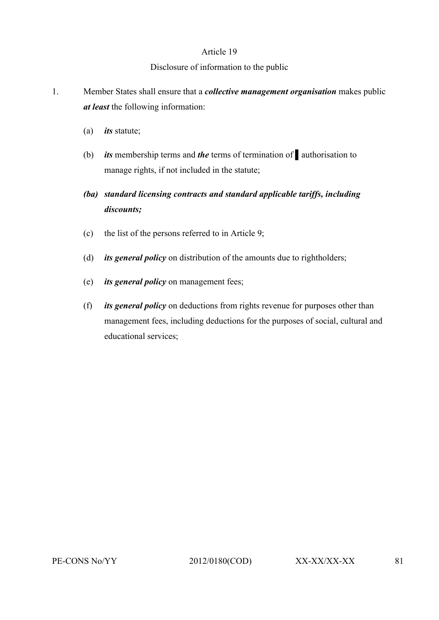# Disclosure of information to the public

- 1. Member States shall ensure that a *collective management organisation* makes public *at least* the following information:
	- (a) *its* statute;
	- (b) *its* membership terms and *the* terms of termination of ▌authorisation to manage rights, if not included in the statute;
	- *(ba) standard licensing contracts and standard applicable tariffs, including discounts;*
	- (c) the list of the persons referred to in Article 9;
	- (d) *its general policy* on distribution of the amounts due to rightholders;
	- (e) *its general policy* on management fees;
	- (f) *its general policy* on deductions from rights revenue for purposes other than management fees, including deductions for the purposes of social, cultural and educational services;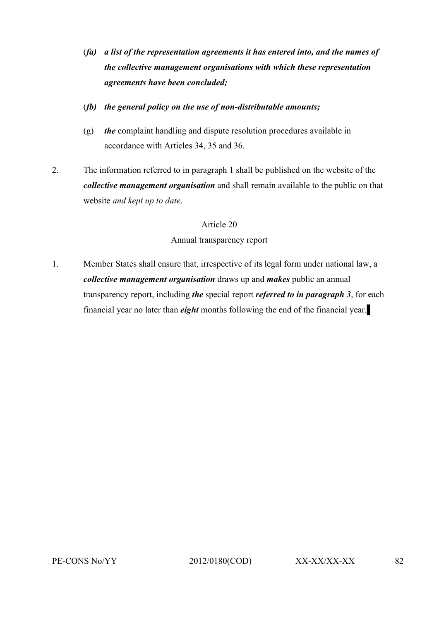- (*fa) a list of the representation agreements it has entered into, and the names of the collective management organisations with which these representation agreements have been concluded;*
- (*fb) the general policy on the use of non-distributable amounts;*
- (g) *the* complaint handling and dispute resolution procedures available in accordance with Articles 34, 35 and 36.
- 2. The information referred to in paragraph 1 shall be published on the website of the *collective management organisation* and shall remain available to the public on that website *and kept up to date*.

Annual transparency report

1. Member States shall ensure that, irrespective of its legal form under national law, a *collective management organisation* draws up and *makes* public an annual transparency report, including *the* special report *referred to in paragraph 3*, for each financial year no later than *eight* months following the end of the financial year.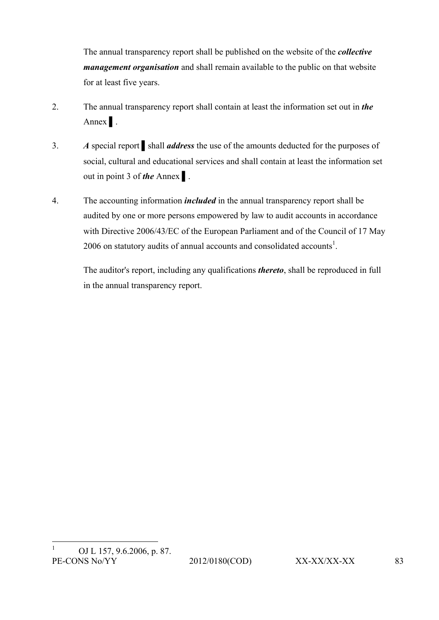The annual transparency report shall be published on the website of the *collective management organisation* and shall remain available to the public on that website for at least five years.

- 2. The annual transparency report shall contain at least the information set out in *the* Annex ▌.
- 3. *A* special report ▌shall *address* the use of the amounts deducted for the purposes of social, cultural and educational services and shall contain at least the information set out in point 3 of *the* Annex ▌.
- 4. The accounting information *included* in the annual transparency report shall be audited by one or more persons empowered by law to audit accounts in accordance with Directive 2006/43/EC of the European Parliament and of the Council of 17 May 2006 on statutory audits of annual accounts and consolidated accounts<sup>1</sup>.

The auditor's report, including any qualifications *thereto*, shall be reproduced in full in the annual transparency report.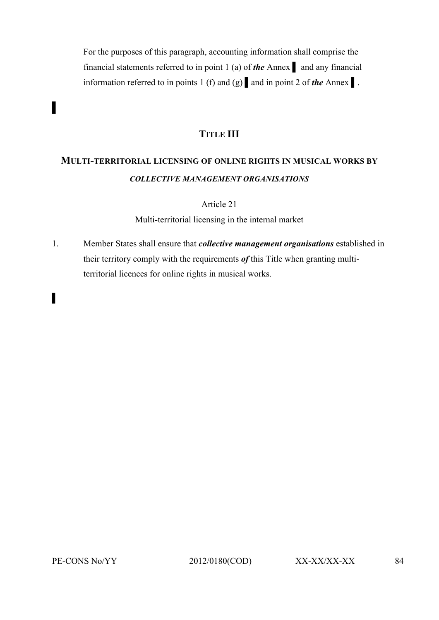For the purposes of this paragraph, accounting information shall comprise the financial statements referred to in point 1 (a) of **the** Annex and any financial information referred to in points 1 (f) and (g) ▌and in point 2 of *the* Annex ▌.

# **TITLE III**

# **MULTI-TERRITORIAL LICENSING OF ONLINE RIGHTS IN MUSICAL WORKS BY**  *COLLECTIVE MANAGEMENT ORGANISATIONS*

Article 21

Multi-territorial licensing in the internal market

1. Member States shall ensure that *collective management organisations* established in their territory comply with the requirements *of* this Title when granting multiterritorial licences for online rights in musical works.

*▌*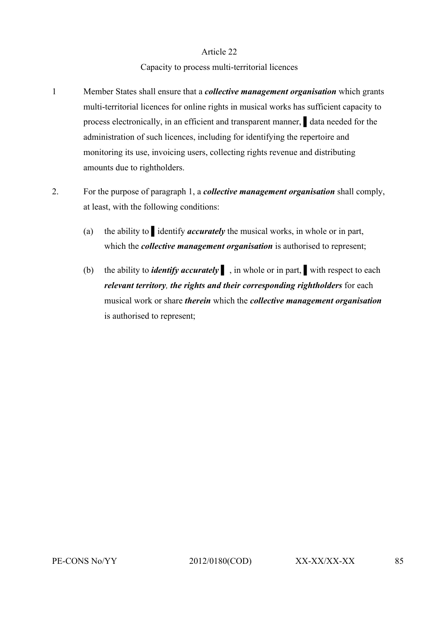# Capacity to process multi-territorial licences

- 1 Member States shall ensure that a *collective management organisation* which grants multi-territorial licences for online rights in musical works has sufficient capacity to process electronically, in an efficient and transparent manner, ▌data needed for the administration of such licences, including for identifying the repertoire and monitoring its use, invoicing users, collecting rights revenue and distributing amounts due to rightholders.
- 2. For the purpose of paragraph 1, a *collective management organisation* shall comply, at least, with the following conditions:
	- (a) the ability to ▌identify *accurately* the musical works, in whole or in part, which the *collective management organisation* is authorised to represent;
	- (b) the ability to *identify accurately* ▌ , in whole or in part, ▌with respect to each *relevant territory, the rights and their corresponding rightholders* for each musical work or share *therein* which the *collective management organisation* is authorised to represent;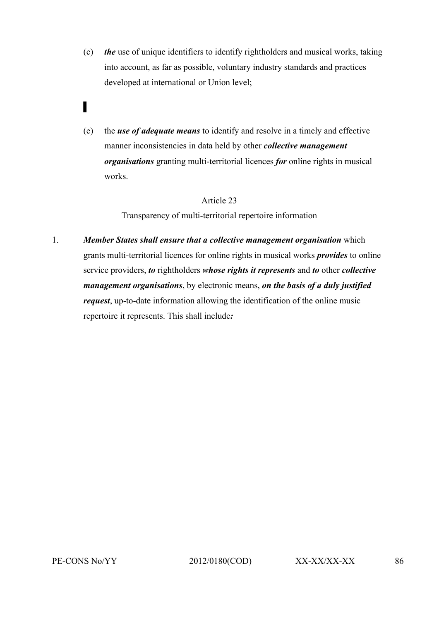- (c) *the* use of unique identifiers to identify rightholders and musical works, taking into account, as far as possible, voluntary industry standards and practices developed at international or Union level;
- ▌
- (e) the *use of adequate means* to identify and resolve in a timely and effective manner inconsistencies in data held by other *collective management organisations* granting multi-territorial licences *for* online rights in musical works.

Transparency of multi-territorial repertoire information

1. *Member States shall ensure that a collective management organisation* which grants multi-territorial licences for online rights in musical works *provides* to online service providers, *to* rightholders *whose rights it represents* and *to* other *collective management organisations*, by electronic means, *on the basis of a duly justified request*, up-to-date information allowing the identification of the online music repertoire it represents. This shall include*:*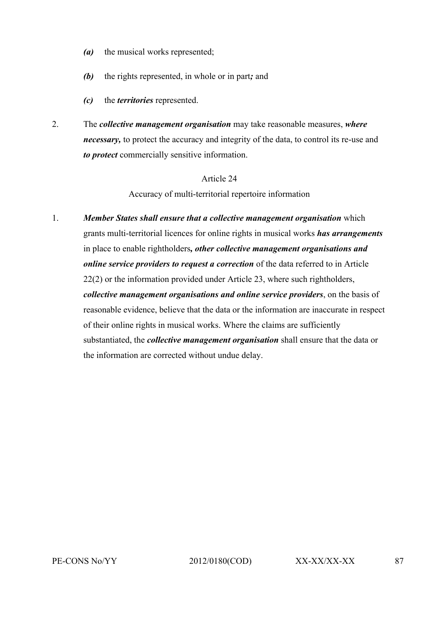- *(a)* the musical works represented;
- *(b)* the rights represented, in whole or in part*;* and
- *(c)* the *territories* represented.
- 2. The *collective management organisation* may take reasonable measures, *where necessary,* to protect the accuracy and integrity of the data, to control its re-use and *to protect* commercially sensitive information.

Accuracy of multi-territorial repertoire information

1. *Member States shall ensure that a collective management organisation* which grants multi-territorial licences for online rights in musical works *has arrangements* in place to enable rightholders*, other collective management organisations and online service providers to request a correction* of the data referred to in Article 22(2) or the information provided under Article 23, where such rightholders, *collective management organisations and online service providers*, on the basis of reasonable evidence, believe that the data or the information are inaccurate in respect of their online rights in musical works. Where the claims are sufficiently substantiated, the *collective management organisation* shall ensure that the data or the information are corrected without undue delay.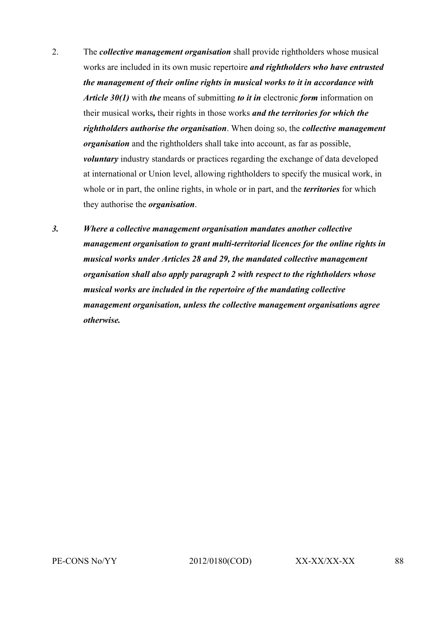- 2. The *collective management organisation* shall provide rightholders whose musical works are included in its own music repertoire *and rightholders who have entrusted the management of their online rights in musical works to it in accordance with Article 30(1)* with *the* means of submitting *to it in* electronic *form* information on their musical works*,* their rights in those works *and the territories for which the rightholders authorise the organisation*. When doing so, the *collective management organisation* and the rightholders shall take into account, as far as possible, *voluntary* industry standards or practices regarding the exchange of data developed at international or Union level, allowing rightholders to specify the musical work, in whole or in part, the online rights, in whole or in part, and the *territories* for which they authorise the *organisation*.
- *3. Where a collective management organisation mandates another collective management organisation to grant multi-territorial licences for the online rights in musical works under Articles 28 and 29, the mandated collective management organisation shall also apply paragraph 2 with respect to the rightholders whose musical works are included in the repertoire of the mandating collective management organisation, unless the collective management organisations agree otherwise.*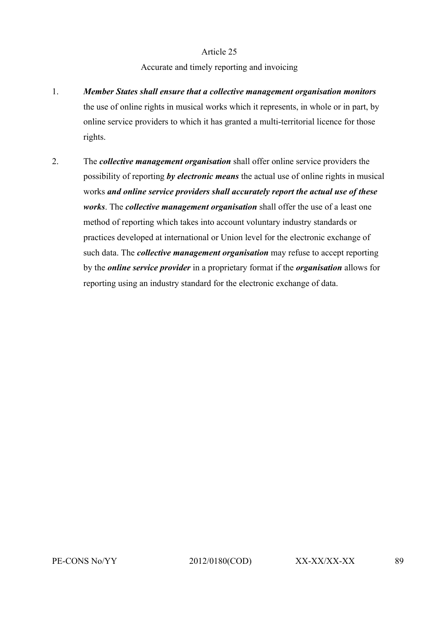# Accurate and timely reporting and invoicing

- 1. *Member States shall ensure that a collective management organisation monitors* the use of online rights in musical works which it represents, in whole or in part, by online service providers to which it has granted a multi-territorial licence for those rights.
- 2. The *collective management organisation* shall offer online service providers the possibility of reporting *by electronic means* the actual use of online rights in musical works *and online service providers shall accurately report the actual use of these works*. The *collective management organisation* shall offer the use of a least one method of reporting which takes into account voluntary industry standards or practices developed at international or Union level for the electronic exchange of such data. The *collective management organisation* may refuse to accept reporting by the *online service provider* in a proprietary format if the *organisation* allows for reporting using an industry standard for the electronic exchange of data.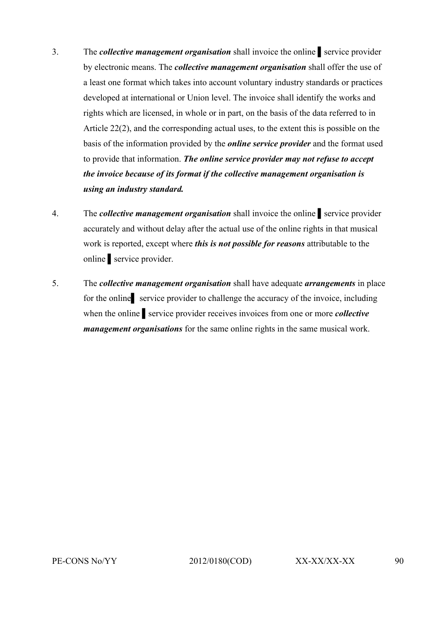- 3. The *collective management organisation* shall invoice the online service provider by electronic means. The *collective management organisation* shall offer the use of a least one format which takes into account voluntary industry standards or practices developed at international or Union level. The invoice shall identify the works and rights which are licensed, in whole or in part, on the basis of the data referred to in Article 22(2), and the corresponding actual uses, to the extent this is possible on the basis of the information provided by the *online service provider* and the format used to provide that information. *The online service provider may not refuse to accept the invoice because of its format if the collective management organisation is using an industry standard.*
- 4. The *collective management organisation* shall invoice the online ▌service provider accurately and without delay after the actual use of the online rights in that musical work is reported, except where *this is not possible for reasons* attributable to the online ▌service provider.
- 5. The *collective management organisation* shall have adequate *arrangements* in place for the online<br>service provider to challenge the accuracy of the invoice, including when the online ▌service provider receives invoices from one or more *collective management organisations* for the same online rights in the same musical work.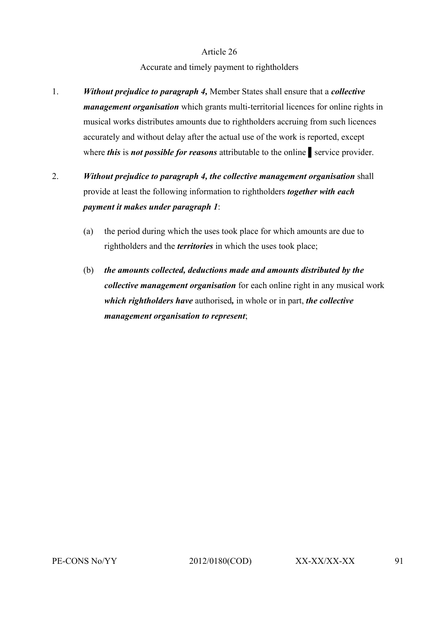# Accurate and timely payment to rightholders

- 1. *Without prejudice to paragraph 4,* Member States shall ensure that a *collective management organisation* which grants multi-territorial licences for online rights in musical works distributes amounts due to rightholders accruing from such licences accurately and without delay after the actual use of the work is reported, except where *this* is *not possible for reasons* attributable to the online service provider.
- 2. *Without prejudice to paragraph 4, the collective management organisation* shall provide at least the following information to rightholders *together with each payment it makes under paragraph 1*:
	- (a) the period during which the uses took place for which amounts are due to rightholders and the *territories* in which the uses took place;
	- (b) *the amounts collected, deductions made and amounts distributed by the collective management organisation* for each online right in any musical work *which rightholders have* authorised*,* in whole or in part, *the collective management organisation to represent*;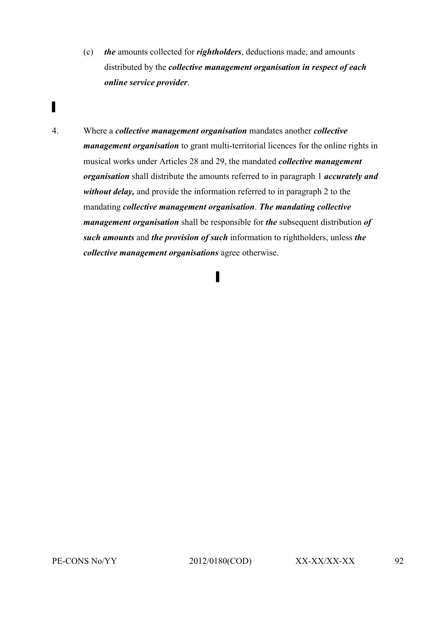- (c) *the* amounts collected for *rightholders*, deductions made, and amounts distributed by the *collective management organisation in respect of each online service provider*.
- ▌

4. Where a *collective management organisation* mandates another *collective management organisation* to grant multi-territorial licences for the online rights in musical works under Articles 28 and 29, the mandated *collective management organisation* shall distribute the amounts referred to in paragraph 1 *accurately and without delay,* and provide the information referred to in paragraph 2 to the mandating *collective management organisation*. *The mandating collective management organisation* shall be responsible for *the* subsequent distribution *of such amounts* and *the provision of such* information to rightholders, unless *the collective management organisations* agree otherwise.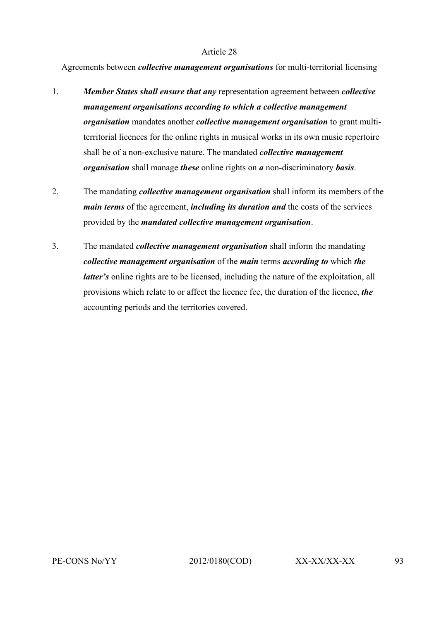Agreements between *collective management organisations* for multi-territorial licensing

- 1. *Member States shall ensure that any* representation agreement between *collective management organisations according to which a collective management organisation* mandates another *collective management organisation* to grant multiterritorial licences for the online rights in musical works in its own music repertoire shall be of a non-exclusive nature. The mandated *collective management organisation* shall manage *these* online rights on *a* non-discriminatory *basis*.
- 2. The mandating *collective management organisation* shall inform its members of the *main terms* of the agreement, *including its duration and* the costs of the services provided by the *mandated collective management organisation*.
- 3. The mandated *collective management organisation* shall inform the mandating *collective management organisation* of the *main* terms *according to* which *the latter's* online rights are to be licensed, including the nature of the exploitation, all provisions which relate to or affect the licence fee, the duration of the licence, *the* accounting periods and the territories covered.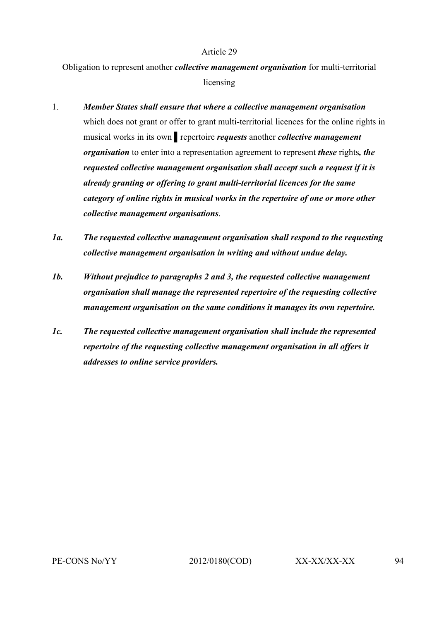Obligation to represent another *collective management organisation* for multi-territorial licensing

- 1. *Member States shall ensure that where a collective management organisation*  which does not grant or offer to grant multi-territorial licences for the online rights in musical works in its own ▌repertoire *requests* another *collective management organisation* to enter into a representation agreement to represent *these* rights*, the requested collective management organisation shall accept such a request if it is already granting or offering to grant multi-territorial licences for the same category of online rights in musical works in the repertoire of one or more other collective management organisations*.
- *1a. The requested collective management organisation shall respond to the requesting collective management organisation in writing and without undue delay.*
- *1b. Without prejudice to paragraphs 2 and 3, the requested collective management organisation shall manage the represented repertoire of the requesting collective management organisation on the same conditions it manages its own repertoire.*
- *1c. The requested collective management organisation shall include the represented repertoire of the requesting collective management organisation in all offers it addresses to online service providers.*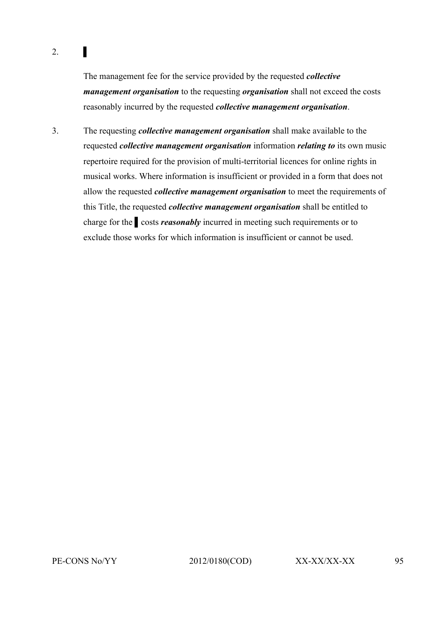# $2.$

The management fee for the service provided by the requested *collective management organisation* to the requesting *organisation* shall not exceed the costs reasonably incurred by the requested *collective management organisation*.

3. The requesting *collective management organisation* shall make available to the requested *collective management organisation* information *relating to* its own music repertoire required for the provision of multi-territorial licences for online rights in musical works. Where information is insufficient or provided in a form that does not allow the requested *collective management organisation* to meet the requirements of this Title, the requested *collective management organisation* shall be entitled to charge for the ▌costs *reasonably* incurred in meeting such requirements or to exclude those works for which information is insufficient or cannot be used.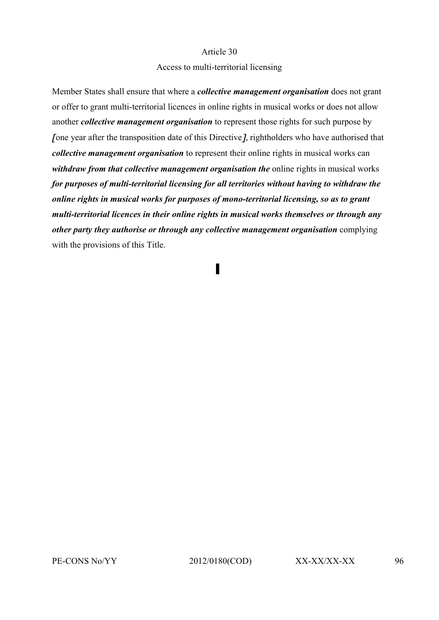#### Access to multi-territorial licensing

Member States shall ensure that where a *collective management organisation* does not grant or offer to grant multi-territorial licences in online rights in musical works or does not allow another *collective management organisation* to represent those rights for such purpose by [one year after the transposition date of this Directive], rightholders who have authorised that *collective management organisation* to represent their online rights in musical works can *withdraw from that collective management organisation the online rights in musical works for purposes of multi-territorial licensing for all territories without having to withdraw the online rights in musical works for purposes of mono-territorial licensing, so as to grant multi-territorial licences in their online rights in musical works themselves or through any other party they authorise or through any collective management organisation* complying with the provisions of this Title.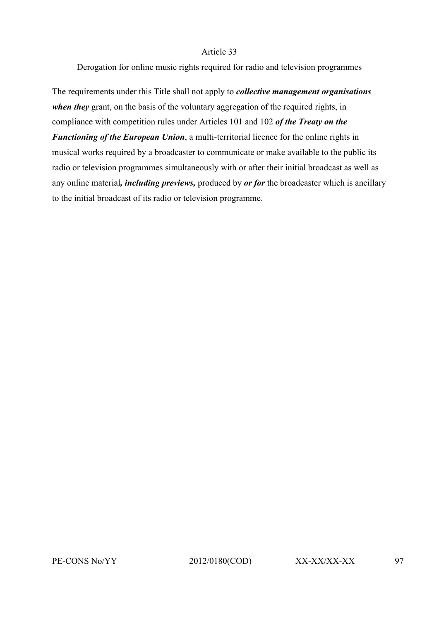Derogation for online music rights required for radio and television programmes

The requirements under this Title shall not apply to *collective management organisations when they* grant, on the basis of the voluntary aggregation of the required rights, in compliance with competition rules under Articles 101 and 102 *of the Treaty on the Functioning of the European Union*, a multi-territorial licence for the online rights in musical works required by a broadcaster to communicate or make available to the public its radio or television programmes simultaneously with or after their initial broadcast as well as any online material*, including previews,* produced by *or for* the broadcaster which is ancillary to the initial broadcast of its radio or television programme.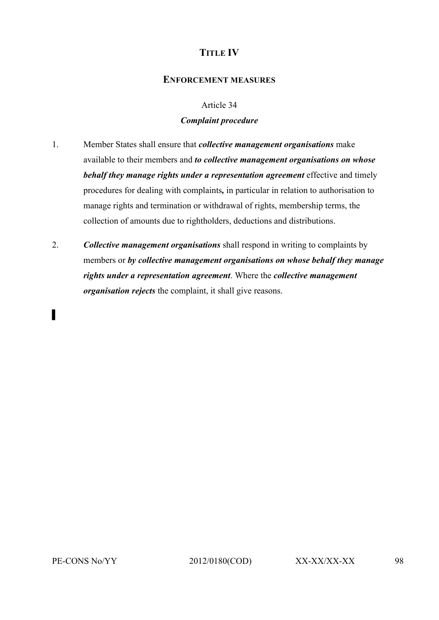# **TITLE IV**

# **ENFORCEMENT MEASURES**

## Article 34

# *Complaint procedure*

- 1. Member States shall ensure that *collective management organisations* make available to their members and *to collective management organisations on whose behalf they manage rights under a representation agreement* effective and timely procedures for dealing with complaints*,* in particular in relation to authorisation to manage rights and termination or withdrawal of rights, membership terms, the collection of amounts due to rightholders, deductions and distributions.
- 2. *Collective management organisations* shall respond in writing to complaints by members or *by collective management organisations on whose behalf they manage rights under a representation agreement*. Where the *collective management organisation rejects* the complaint, it shall give reasons.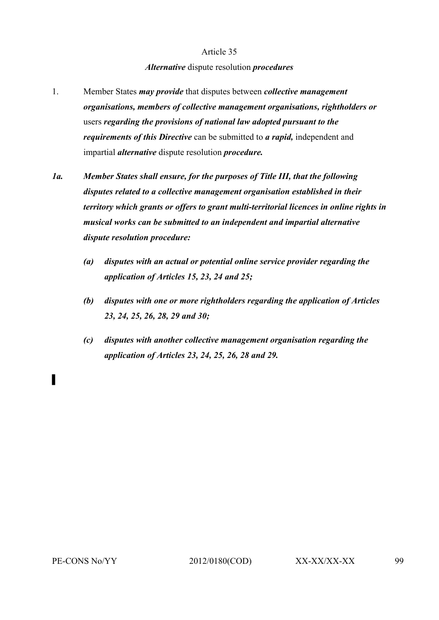#### *Alternative* dispute resolution *procedures*

- 1. Member States *may provide* that disputes between *collective management organisations, members of collective management organisations, rightholders or*  users *regarding the provisions of national law adopted pursuant to the requirements of this Directive* can be submitted to *a rapid,* independent and impartial *alternative* dispute resolution *procedure.*
- *1a. Member States shall ensure, for the purposes of Title III, that the following disputes related to a collective management organisation established in their territory which grants or offers to grant multi-territorial licences in online rights in musical works can be submitted to an independent and impartial alternative dispute resolution procedure:* 
	- *(a) disputes with an actual or potential online service provider regarding the application of Articles 15, 23, 24 and 25;*
	- *(b) disputes with one or more rightholders regarding the application of Articles 23, 24, 25, 26, 28, 29 and 30;*
	- *(c) disputes with another collective management organisation regarding the application of Articles 23, 24, 25, 26, 28 and 29.*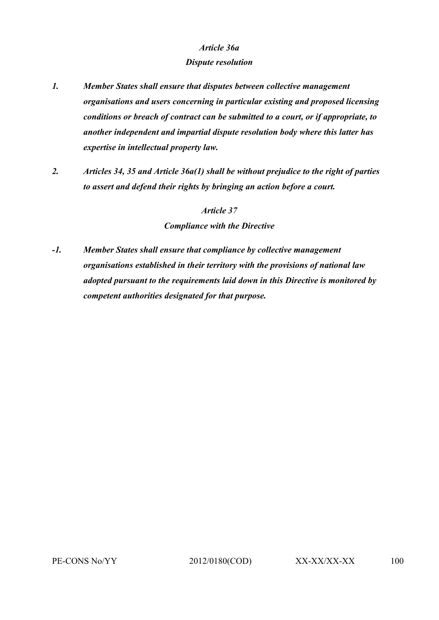### *Article 36a*

#### *Dispute resolution*

- *1. Member States shall ensure that disputes between collective management organisations and users concerning in particular existing and proposed licensing conditions or breach of contract can be submitted to a court, or if appropriate, to another independent and impartial dispute resolution body where this latter has expertise in intellectual property law.*
- *2. Articles 34, 35 and Article 36a(1) shall be without prejudice to the right of parties to assert and defend their rights by bringing an action before a court.*

### *Article 37*

*Compliance with the Directive*

*-1. Member States shall ensure that compliance by collective management organisations established in their territory with the provisions of national law adopted pursuant to the requirements laid down in this Directive is monitored by competent authorities designated for that purpose.*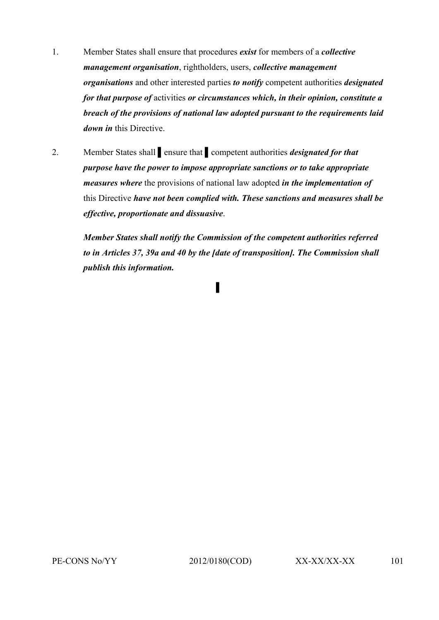- 1. Member States shall ensure that procedures *exist* for members of a *collective management organisation*, rightholders, users, *collective management organisations* and other interested parties *to notify* competent authorities *designated for that purpose of* activities *or circumstances which, in their opinion, constitute a breach of the provisions of national law adopted pursuant to the requirements laid down in* this Directive.
- 2. Member States shall ▌ensure that ▌competent authorities *designated for that purpose have the power to impose appropriate sanctions or to take appropriate measures where* the provisions of national law adopted *in the implementation of* this Directive *have not been complied with. These sanctions and measures shall be effective, proportionate and dissuasive*.

*Member States shall notify the Commission of the competent authorities referred to in Articles 37, 39a and 40 by the [date of transposition]. The Commission shall publish this information.*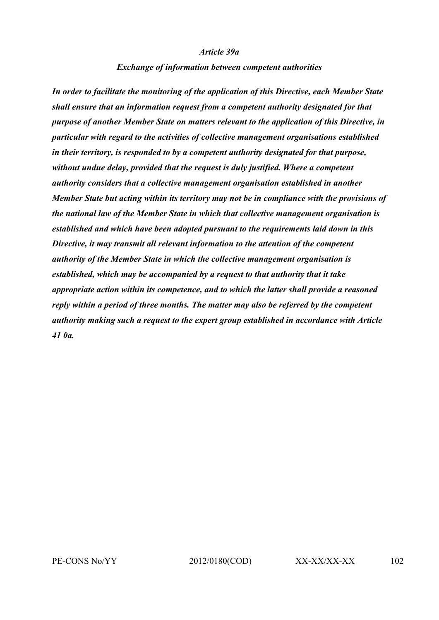#### *Article 39a*

#### *Exchange of information between competent authorities*

*In order to facilitate the monitoring of the application of this Directive, each Member State shall ensure that an information request from a competent authority designated for that purpose of another Member State on matters relevant to the application of this Directive, in particular with regard to the activities of collective management organisations established in their territory, is responded to by a competent authority designated for that purpose, without undue delay, provided that the request is duly justified. Where a competent authority considers that a collective management organisation established in another Member State but acting within its territory may not be in compliance with the provisions of the national law of the Member State in which that collective management organisation is established and which have been adopted pursuant to the requirements laid down in this Directive, it may transmit all relevant information to the attention of the competent authority of the Member State in which the collective management organisation is established, which may be accompanied by a request to that authority that it take appropriate action within its competence, and to which the latter shall provide a reasoned reply within a period of three months. The matter may also be referred by the competent authority making such a request to the expert group established in accordance with Article 41 0a.*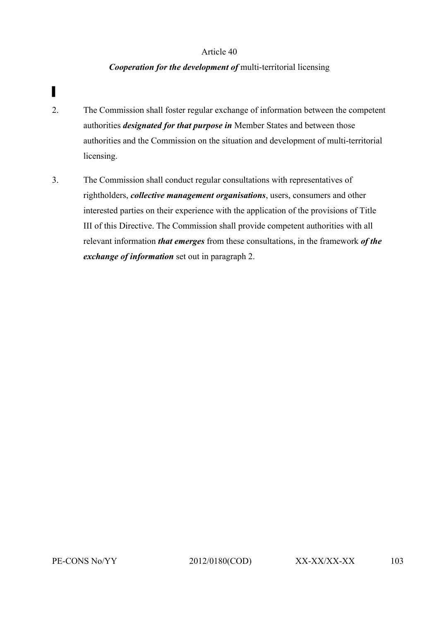# *Cooperation for the development of* multi-territorial licensing

- ▌
- 2. The Commission shall foster regular exchange of information between the competent authorities *designated for that purpose in* Member States and between those authorities and the Commission on the situation and development of multi-territorial licensing.
- 3. The Commission shall conduct regular consultations with representatives of rightholders, *collective management organisations*, users, consumers and other interested parties on their experience with the application of the provisions of Title III of this Directive. The Commission shall provide competent authorities with all relevant information *that emerges* from these consultations, in the framework *of the exchange of information* set out in paragraph 2.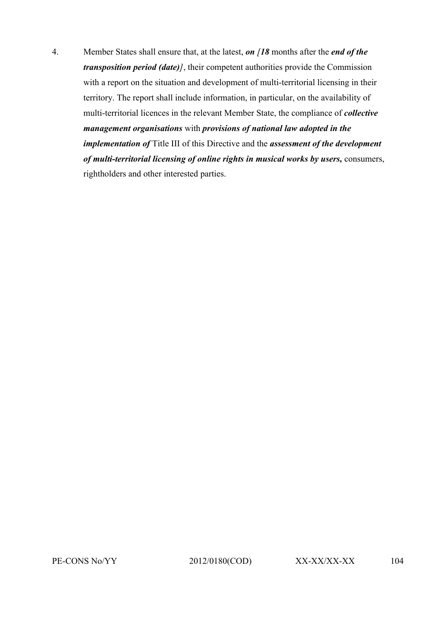4. Member States shall ensure that, at the latest, *on [18* months after the *end of the transposition period (date)]*, their competent authorities provide the Commission with a report on the situation and development of multi-territorial licensing in their territory. The report shall include information, in particular, on the availability of multi-territorial licences in the relevant Member State, the compliance of *collective management organisations* with *provisions of national law adopted in the implementation of* Title III of this Directive and the *assessment of the development of multi-territorial licensing of online rights in musical works by users,* consumers, rightholders and other interested parties.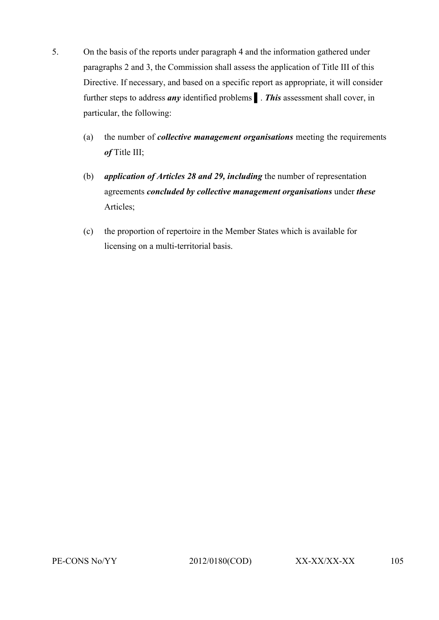- 5. On the basis of the reports under paragraph 4 and the information gathered under paragraphs 2 and 3, the Commission shall assess the application of Title III of this Directive. If necessary, and based on a specific report as appropriate, it will consider further steps to address *any* identified problems ▌. *This* assessment shall cover, in particular, the following:
	- (a) the number of *collective management organisations* meeting the requirements *of* Title III;
	- (b) *application of Articles 28 and 29, including* the number of representation agreements *concluded by collective management organisations* under *these*  Articles;
	- (c) the proportion of repertoire in the Member States which is available for licensing on a multi-territorial basis.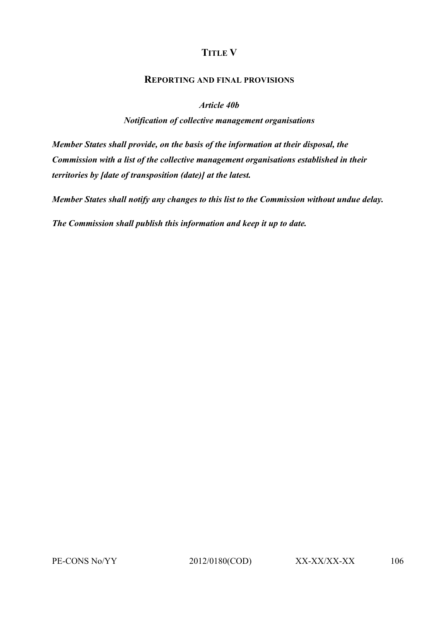# **TITLE V**

# **REPORTING AND FINAL PROVISIONS**

### *Article 40b*

# *Notification of collective management organisations*

*Member States shall provide, on the basis of the information at their disposal, the Commission with a list of the collective management organisations established in their territories by [date of transposition (date)] at the latest.*

*Member States shall notify any changes to this list to the Commission without undue delay.*

*The Commission shall publish this information and keep it up to date.*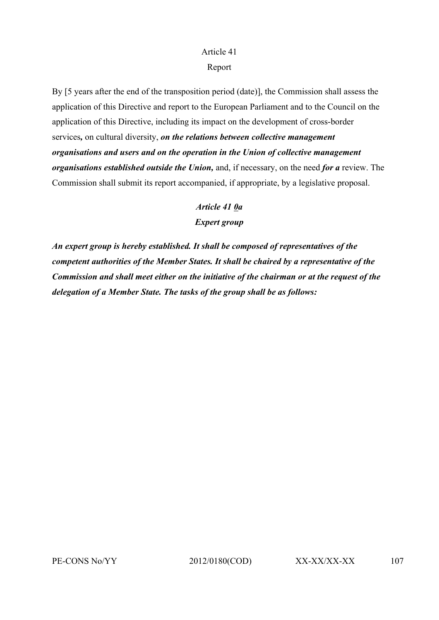# Report

By [5 years after the end of the transposition period (date)], the Commission shall assess the application of this Directive and report to the European Parliament and to the Council on the application of this Directive, including its impact on the development of cross-border services*,* on cultural diversity, *on the relations between collective management organisations and users and on the operation in the Union of collective management organisations established outside the Union,* and, if necessary, on the need *for a* review. The Commission shall submit its report accompanied, if appropriate, by a legislative proposal.

# *Article 41 0a*

# *Expert group*

*An expert group is hereby established. It shall be composed of representatives of the competent authorities of the Member States. It shall be chaired by a representative of the Commission and shall meet either on the initiative of the chairman or at the request of the delegation of a Member State. The tasks of the group shall be as follows:*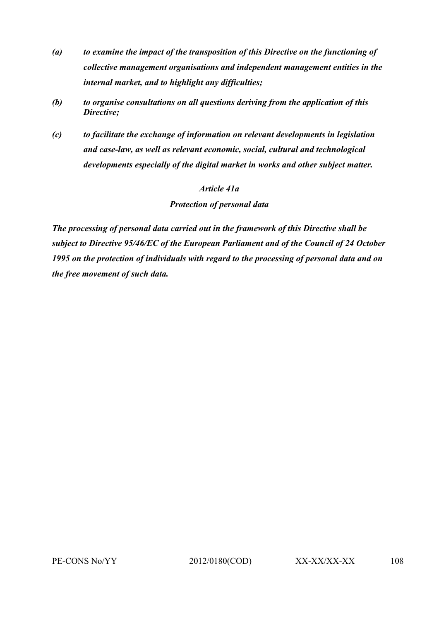- *(a) to examine the impact of the transposition of this Directive on the functioning of collective management organisations and independent management entities in the internal market, and to highlight any difficulties;*
- *(b) to organise consultations on all questions deriving from the application of this Directive;*
- *(c) to facilitate the exchange of information on relevant developments in legislation and case-law, as well as relevant economic, social, cultural and technological developments especially of the digital market in works and other subject matter.*

# *Article 41a*

*Protection of personal data*

*The processing of personal data carried out in the framework of this Directive shall be subject to Directive 95/46/EC of the European Parliament and of the Council of 24 October 1995 on the protection of individuals with regard to the processing of personal data and on the free movement of such data.*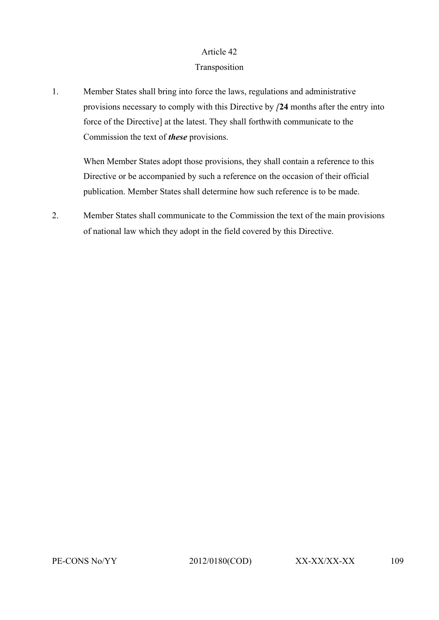## Article 42

# Transposition

1. Member States shall bring into force the laws, regulations and administrative provisions necessary to comply with this Directive by *[***24** months after the entry into force of the Directive] at the latest. They shall forthwith communicate to the Commission the text of *these* provisions.

When Member States adopt those provisions, they shall contain a reference to this Directive or be accompanied by such a reference on the occasion of their official publication. Member States shall determine how such reference is to be made.

2. Member States shall communicate to the Commission the text of the main provisions of national law which they adopt in the field covered by this Directive.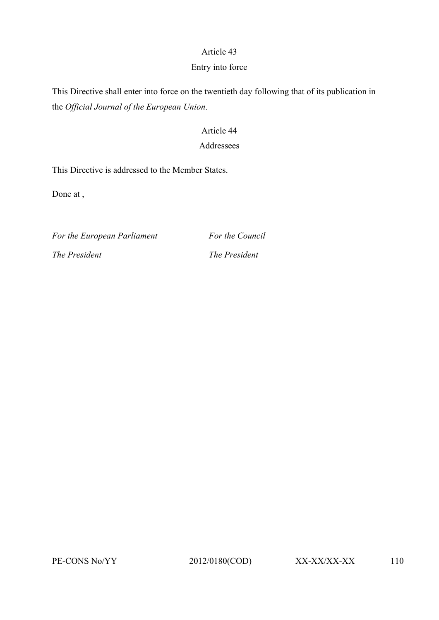### Article 43

#### Entry into force

This Directive shall enter into force on the twentieth day following that of its publication in the *Official Journal of the European Union*.

### Article 44

## Addressees

This Directive is addressed to the Member States.

Done at ,

*For the European Parliament For the Council The President The President*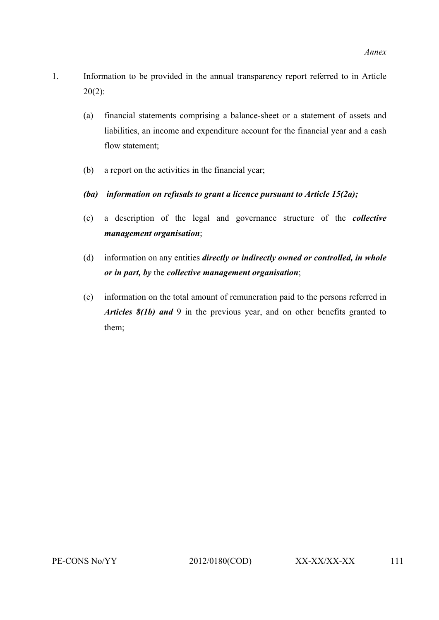- 1. Information to be provided in the annual transparency report referred to in Article 20(2):
	- (a) financial statements comprising a balance-sheet or a statement of assets and liabilities, an income and expenditure account for the financial year and a cash flow statement;
	- (b) a report on the activities in the financial year;
	- *(ba) information on refusals to grant a licence pursuant to Article 15(2a);*
	- (c) a description of the legal and governance structure of the *collective management organisation*;
	- (d) information on any entities *directly or indirectly owned or controlled, in whole or in part, by* the *collective management organisation*;
	- (e) information on the total amount of remuneration paid to the persons referred in *Articles 8(1b) and* 9 in the previous year, and on other benefits granted to them;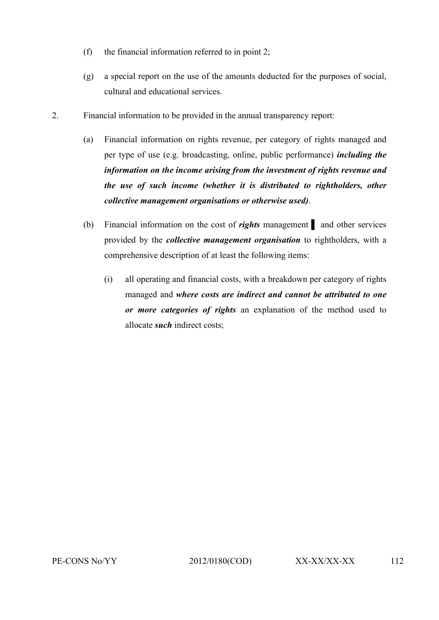- (f) the financial information referred to in point 2;
- (g) a special report on the use of the amounts deducted for the purposes of social, cultural and educational services.
- 2. Financial information to be provided in the annual transparency report:
	- (a) Financial information on rights revenue, per category of rights managed and per type of use (e.g. broadcasting, online, public performance) *including the information on the income arising from the investment of rights revenue and the use of such income (whether it is distributed to rightholders, other collective management organisations or otherwise used)*.
	- (b) Financial information on the cost of *rights* management ▌ and other services provided by the *collective management organisation* to rightholders, with a comprehensive description of at least the following items:
		- (i) all operating and financial costs, with a breakdown per category of rights managed and *where costs are indirect and cannot be attributed to one or more categories of rights* an explanation of the method used to allocate *such* indirect costs;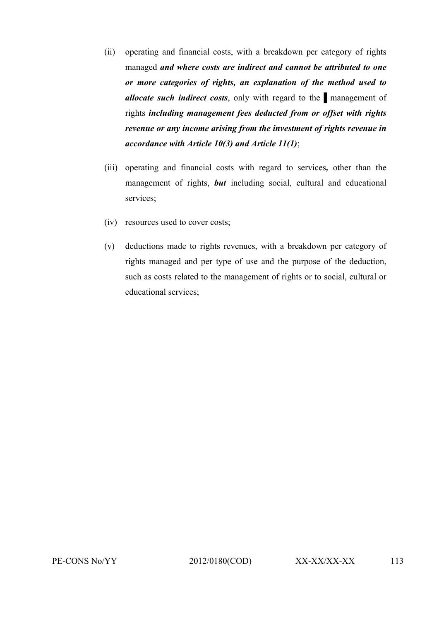- (ii) operating and financial costs, with a breakdown per category of rights managed *and where costs are indirect and cannot be attributed to one or more categories of rights, an explanation of the method used to allocate such indirect costs*, only with regard to the nanagement of rights *including management fees deducted from or offset with rights revenue or any income arising from the investment of rights revenue in accordance with Article 10(3) and Article 11(1)*;
- (iii) operating and financial costs with regard to services*,* other than the management of rights, *but* including social, cultural and educational services;
- (iv) resources used to cover costs;
- (v) deductions made to rights revenues, with a breakdown per category of rights managed and per type of use and the purpose of the deduction, such as costs related to the management of rights or to social, cultural or educational services;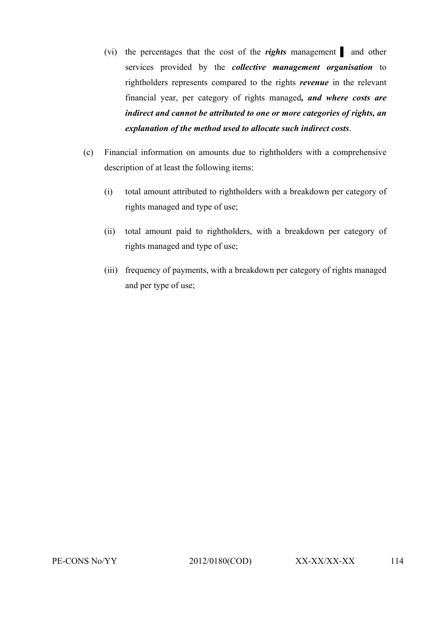- (vi) the percentages that the cost of the *rights* management ▌ and other services provided by the *collective management organisation* to rightholders represents compared to the rights *revenue* in the relevant financial year, per category of rights managed*, and where costs are indirect and cannot be attributed to one or more categories of rights, an explanation of the method used to allocate such indirect costs*.
- (c) Financial information on amounts due to rightholders with a comprehensive description of at least the following items:
	- (i) total amount attributed to rightholders with a breakdown per category of rights managed and type of use;
	- (ii) total amount paid to rightholders, with a breakdown per category of rights managed and type of use;
	- (iii) frequency of payments, with a breakdown per category of rights managed and per type of use;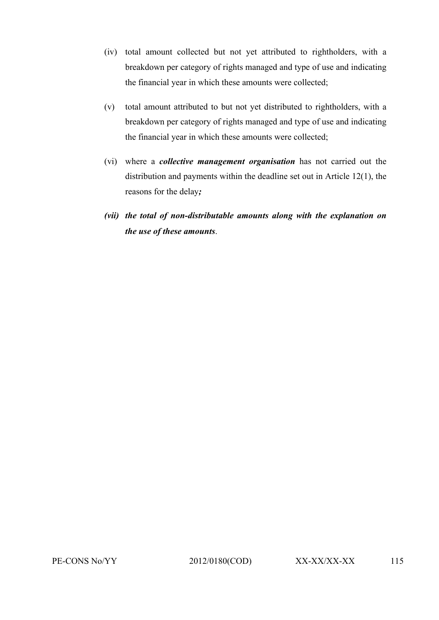- (iv) total amount collected but not yet attributed to rightholders, with a breakdown per category of rights managed and type of use and indicating the financial year in which these amounts were collected;
- (v) total amount attributed to but not yet distributed to rightholders, with a breakdown per category of rights managed and type of use and indicating the financial year in which these amounts were collected;
- (vi) where a *collective management organisation* has not carried out the distribution and payments within the deadline set out in Article 12(1), the reasons for the delay*;*
- *(vii) the total of non-distributable amounts along with the explanation on the use of these amounts*.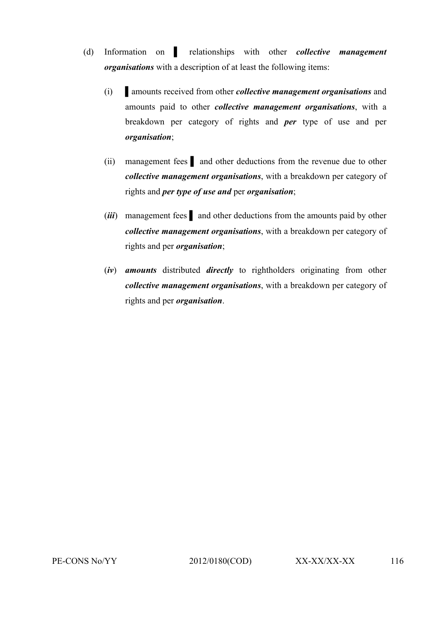- (d) Information on ▌ relationships with other *collective management organisations* with a description of at least the following items:
	- (i) ▌amounts received from other *collective management organisations* and amounts paid to other *collective management organisations*, with a breakdown per category of rights and *per* type of use and per *organisation*;
	- (ii) management fees ▌ and other deductions from the revenue due to other *collective management organisations*, with a breakdown per category of rights and *per type of use and* per *organisation*;
	- (*iii*) management fees ▌ and other deductions from the amounts paid by other *collective management organisations*, with a breakdown per category of rights and per *organisation*;
	- (*iv*) *amounts* distributed *directly* to rightholders originating from other *collective management organisations*, with a breakdown per category of rights and per *organisation*.